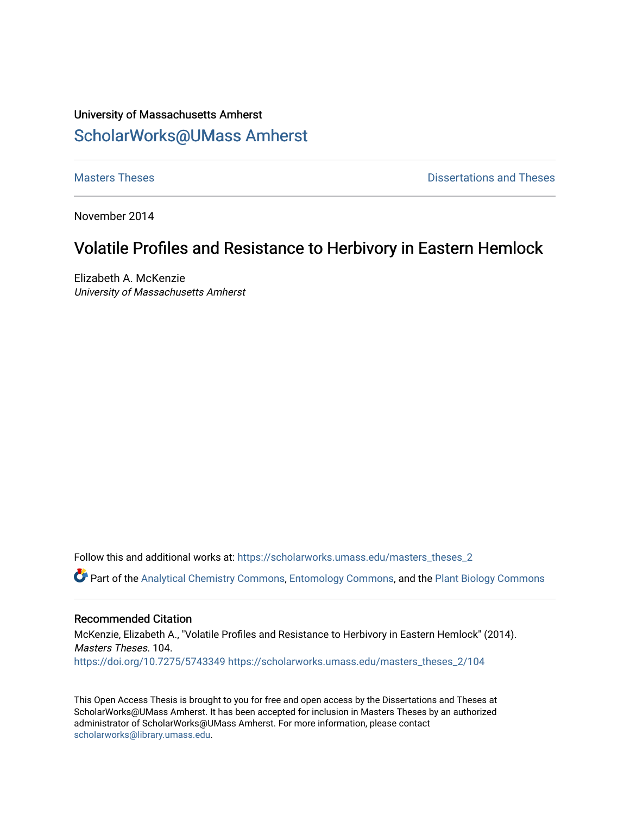# University of Massachusetts Amherst [ScholarWorks@UMass Amherst](https://scholarworks.umass.edu/)

**[Masters Theses](https://scholarworks.umass.edu/masters_theses_2) Contract Contract Contract Contract Contract Contract Contract Contract Contract Contract Contract Contract Contract Contract Contract Contract Contract Contract Contract Contract Contract Contract Contra** 

November 2014

# Volatile Profiles and Resistance to Herbivory in Eastern Hemlock

Elizabeth A. McKenzie University of Massachusetts Amherst

Follow this and additional works at: [https://scholarworks.umass.edu/masters\\_theses\\_2](https://scholarworks.umass.edu/masters_theses_2?utm_source=scholarworks.umass.edu%2Fmasters_theses_2%2F104&utm_medium=PDF&utm_campaign=PDFCoverPages) 

Part of the [Analytical Chemistry Commons,](http://network.bepress.com/hgg/discipline/132?utm_source=scholarworks.umass.edu%2Fmasters_theses_2%2F104&utm_medium=PDF&utm_campaign=PDFCoverPages) [Entomology Commons,](http://network.bepress.com/hgg/discipline/83?utm_source=scholarworks.umass.edu%2Fmasters_theses_2%2F104&utm_medium=PDF&utm_campaign=PDFCoverPages) and the [Plant Biology Commons](http://network.bepress.com/hgg/discipline/106?utm_source=scholarworks.umass.edu%2Fmasters_theses_2%2F104&utm_medium=PDF&utm_campaign=PDFCoverPages) 

## Recommended Citation

McKenzie, Elizabeth A., "Volatile Profiles and Resistance to Herbivory in Eastern Hemlock" (2014). Masters Theses. 104. <https://doi.org/10.7275/5743349> [https://scholarworks.umass.edu/masters\\_theses\\_2/104](https://scholarworks.umass.edu/masters_theses_2/104?utm_source=scholarworks.umass.edu%2Fmasters_theses_2%2F104&utm_medium=PDF&utm_campaign=PDFCoverPages)

This Open Access Thesis is brought to you for free and open access by the Dissertations and Theses at ScholarWorks@UMass Amherst. It has been accepted for inclusion in Masters Theses by an authorized administrator of ScholarWorks@UMass Amherst. For more information, please contact [scholarworks@library.umass.edu.](mailto:scholarworks@library.umass.edu)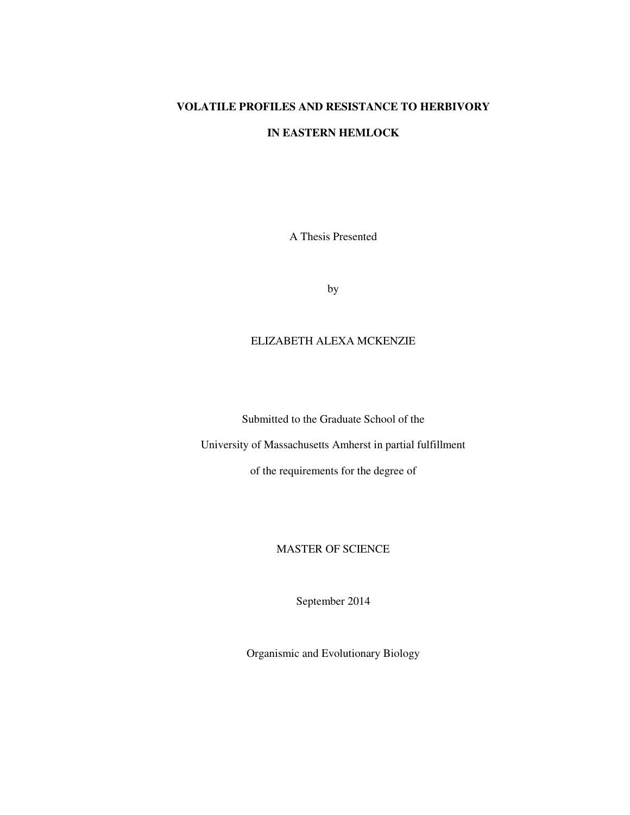## **VOLATILE PROFILES AND RESISTANCE TO HERBIVORY**

## **IN EASTERN HEMLOCK**

A Thesis Presented

by

## ELIZABETH ALEXA MCKENZIE

Submitted to the Graduate School of the

University of Massachusetts Amherst in partial fulfillment

of the requirements for the degree of

## MASTER OF SCIENCE

September 2014

Organismic and Evolutionary Biology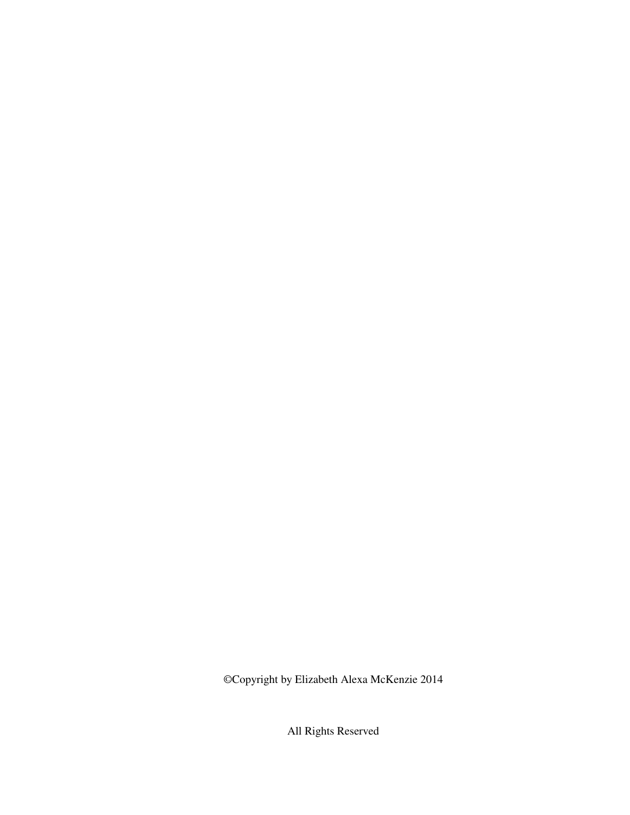©Copyright by Elizabeth Alexa McKenzie 2014

All Rights Reserved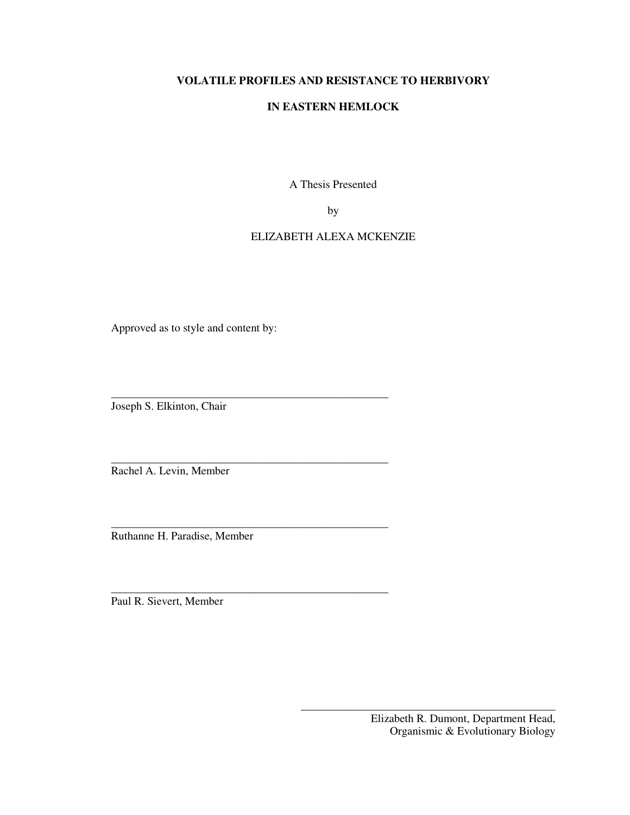## **VOLATILE PROFILES AND RESISTANCE TO HERBIVORY**

## **IN EASTERN HEMLOCK**

A Thesis Presented

by

## ELIZABETH ALEXA MCKENZIE

Approved as to style and content by:

\_\_\_\_\_\_\_\_\_\_\_\_\_\_\_\_\_\_\_\_\_\_\_\_\_\_\_\_\_\_\_\_\_\_\_\_\_\_\_\_\_\_\_\_\_\_\_\_\_

\_\_\_\_\_\_\_\_\_\_\_\_\_\_\_\_\_\_\_\_\_\_\_\_\_\_\_\_\_\_\_\_\_\_\_\_\_\_\_\_\_\_\_\_\_\_\_\_\_

\_\_\_\_\_\_\_\_\_\_\_\_\_\_\_\_\_\_\_\_\_\_\_\_\_\_\_\_\_\_\_\_\_\_\_\_\_\_\_\_\_\_\_\_\_\_\_\_\_

\_\_\_\_\_\_\_\_\_\_\_\_\_\_\_\_\_\_\_\_\_\_\_\_\_\_\_\_\_\_\_\_\_\_\_\_\_\_\_\_\_\_\_\_\_\_\_\_\_

Joseph S. Elkinton, Chair

Rachel A. Levin, Member

Ruthanne H. Paradise, Member

Paul R. Sievert, Member

\_\_\_\_\_\_\_\_\_\_\_\_\_\_\_\_\_\_\_\_\_\_\_\_\_\_\_\_\_\_\_\_\_\_\_\_\_\_\_\_\_\_\_\_\_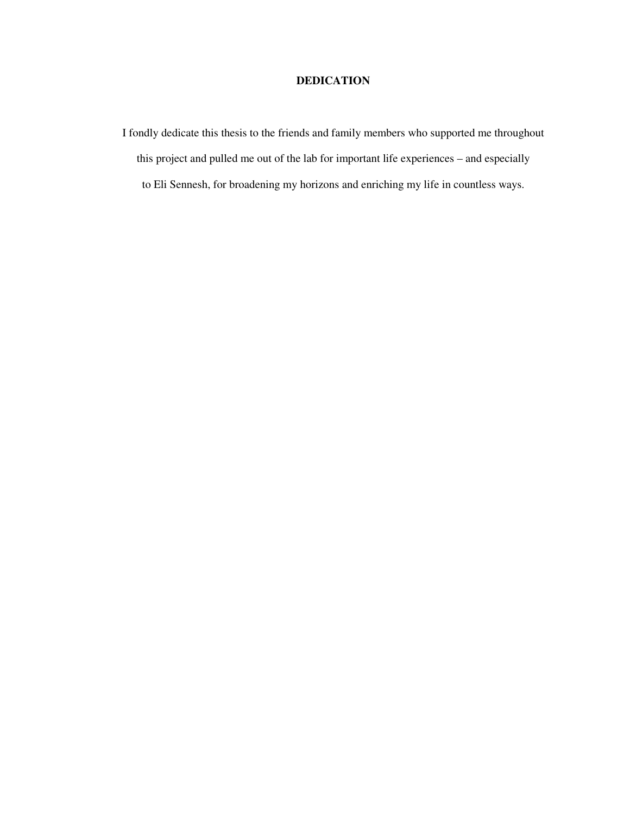## **DEDICATION**

I fondly dedicate this thesis to the friends and family members who supported me throughout this project and pulled me out of the lab for important life experiences – and especially to Eli Sennesh, for broadening my horizons and enriching my life in countless ways.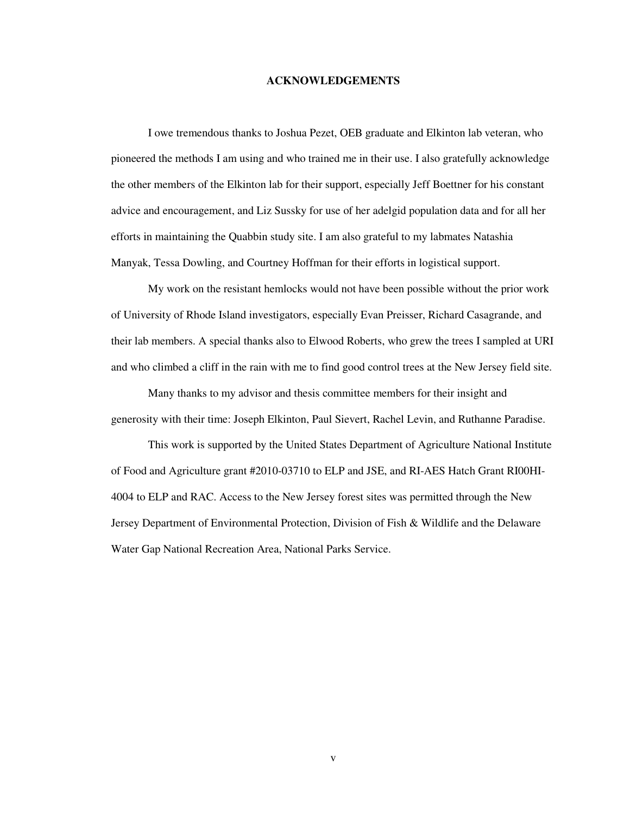#### **ACKNOWLEDGEMENTS**

I owe tremendous thanks to Joshua Pezet, OEB graduate and Elkinton lab veteran, who pioneered the methods I am using and who trained me in their use. I also gratefully acknowledge the other members of the Elkinton lab for their support, especially Jeff Boettner for his constant advice and encouragement, and Liz Sussky for use of her adelgid population data and for all her efforts in maintaining the Quabbin study site. I am also grateful to my labmates Natashia Manyak, Tessa Dowling, and Courtney Hoffman for their efforts in logistical support.

My work on the resistant hemlocks would not have been possible without the prior work of University of Rhode Island investigators, especially Evan Preisser, Richard Casagrande, and their lab members. A special thanks also to Elwood Roberts, who grew the trees I sampled at URI and who climbed a cliff in the rain with me to find good control trees at the New Jersey field site.

Many thanks to my advisor and thesis committee members for their insight and generosity with their time: Joseph Elkinton, Paul Sievert, Rachel Levin, and Ruthanne Paradise.

This work is supported by the United States Department of Agriculture National Institute of Food and Agriculture grant #2010-03710 to ELP and JSE, and RI-AES Hatch Grant RI00HI-4004 to ELP and RAC. Access to the New Jersey forest sites was permitted through the New Jersey Department of Environmental Protection, Division of Fish & Wildlife and the Delaware Water Gap National Recreation Area, National Parks Service.

v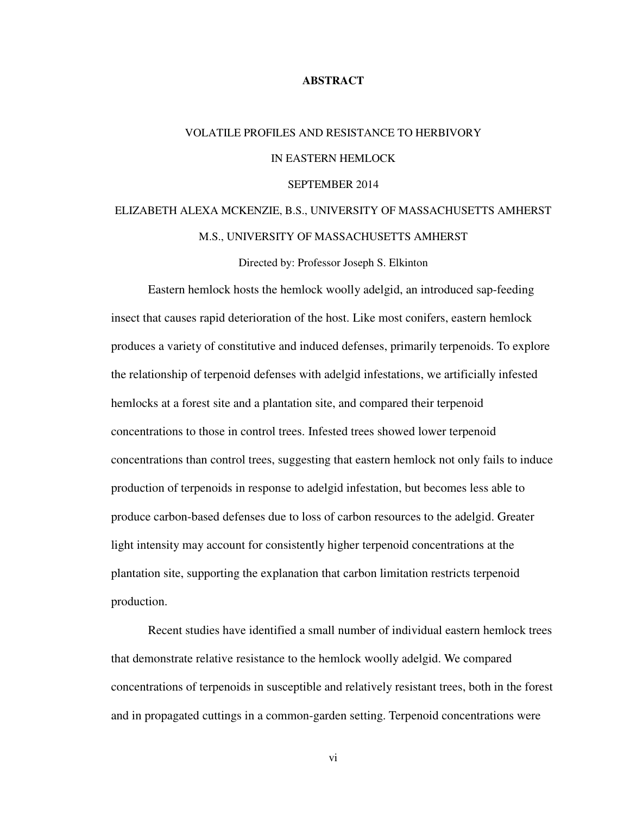## **ABSTRACT**

# VOLATILE PROFILES AND RESISTANCE TO HERBIVORY IN EASTERN HEMLOCK SEPTEMBER 2014

# ELIZABETH ALEXA MCKENZIE, B.S., UNIVERSITY OF MASSACHUSETTS AMHERST M.S., UNIVERSITY OF MASSACHUSETTS AMHERST

Directed by: Professor Joseph S. Elkinton

 Eastern hemlock hosts the hemlock woolly adelgid, an introduced sap-feeding insect that causes rapid deterioration of the host. Like most conifers, eastern hemlock produces a variety of constitutive and induced defenses, primarily terpenoids. To explore the relationship of terpenoid defenses with adelgid infestations, we artificially infested hemlocks at a forest site and a plantation site, and compared their terpenoid concentrations to those in control trees. Infested trees showed lower terpenoid concentrations than control trees, suggesting that eastern hemlock not only fails to induce production of terpenoids in response to adelgid infestation, but becomes less able to produce carbon-based defenses due to loss of carbon resources to the adelgid. Greater light intensity may account for consistently higher terpenoid concentrations at the plantation site, supporting the explanation that carbon limitation restricts terpenoid production.

 Recent studies have identified a small number of individual eastern hemlock trees that demonstrate relative resistance to the hemlock woolly adelgid. We compared concentrations of terpenoids in susceptible and relatively resistant trees, both in the forest and in propagated cuttings in a common-garden setting. Terpenoid concentrations were

vi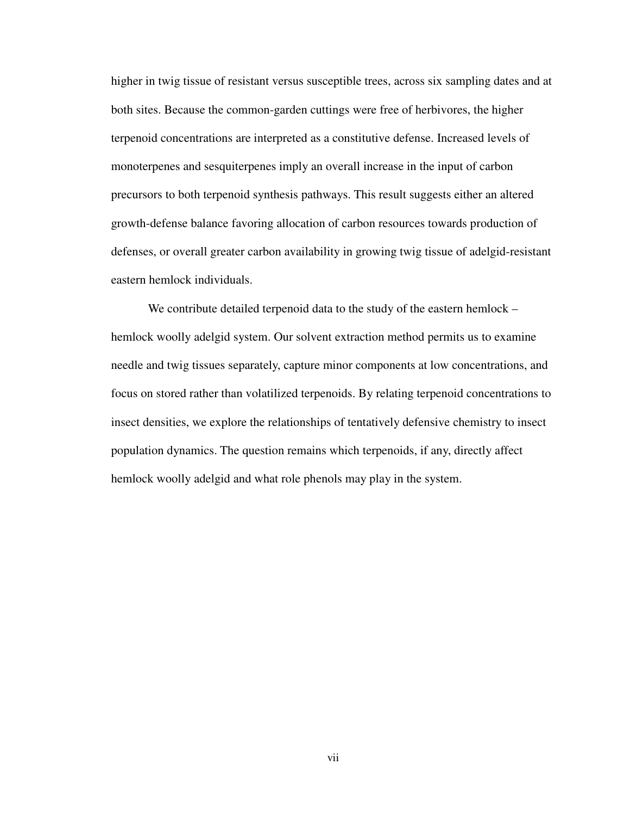higher in twig tissue of resistant versus susceptible trees, across six sampling dates and at both sites. Because the common-garden cuttings were free of herbivores, the higher terpenoid concentrations are interpreted as a constitutive defense. Increased levels of monoterpenes and sesquiterpenes imply an overall increase in the input of carbon precursors to both terpenoid synthesis pathways. This result suggests either an altered growth-defense balance favoring allocation of carbon resources towards production of defenses, or overall greater carbon availability in growing twig tissue of adelgid-resistant eastern hemlock individuals.

We contribute detailed terpenoid data to the study of the eastern hemlock – hemlock woolly adelgid system. Our solvent extraction method permits us to examine needle and twig tissues separately, capture minor components at low concentrations, and focus on stored rather than volatilized terpenoids. By relating terpenoid concentrations to insect densities, we explore the relationships of tentatively defensive chemistry to insect population dynamics. The question remains which terpenoids, if any, directly affect hemlock woolly adelgid and what role phenols may play in the system.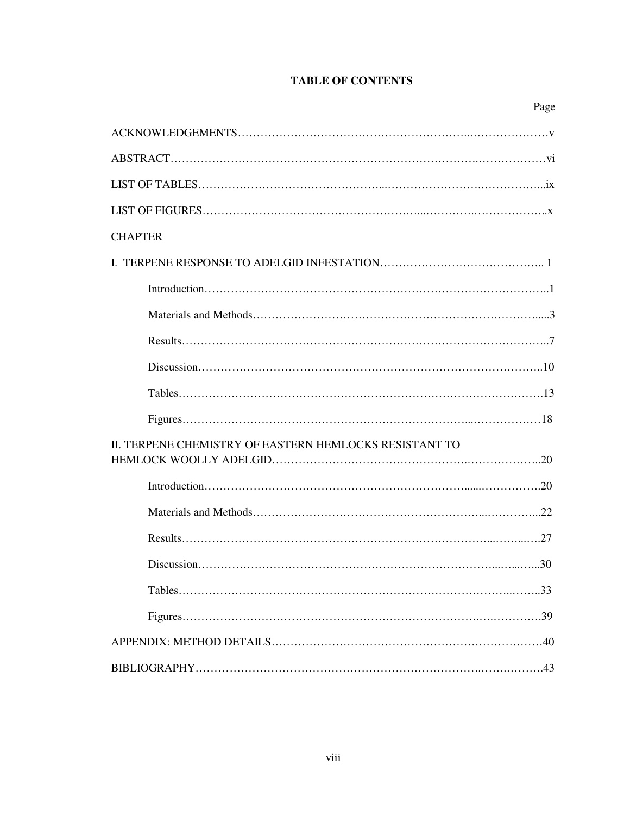# **TABLE OF CONTENTS**

| <b>CHAPTER</b>                                         |
|--------------------------------------------------------|
|                                                        |
|                                                        |
|                                                        |
|                                                        |
|                                                        |
|                                                        |
|                                                        |
|                                                        |
| II. TERPENE CHEMISTRY OF EASTERN HEMLOCKS RESISTANT TO |
|                                                        |
|                                                        |
|                                                        |
|                                                        |
|                                                        |
|                                                        |
|                                                        |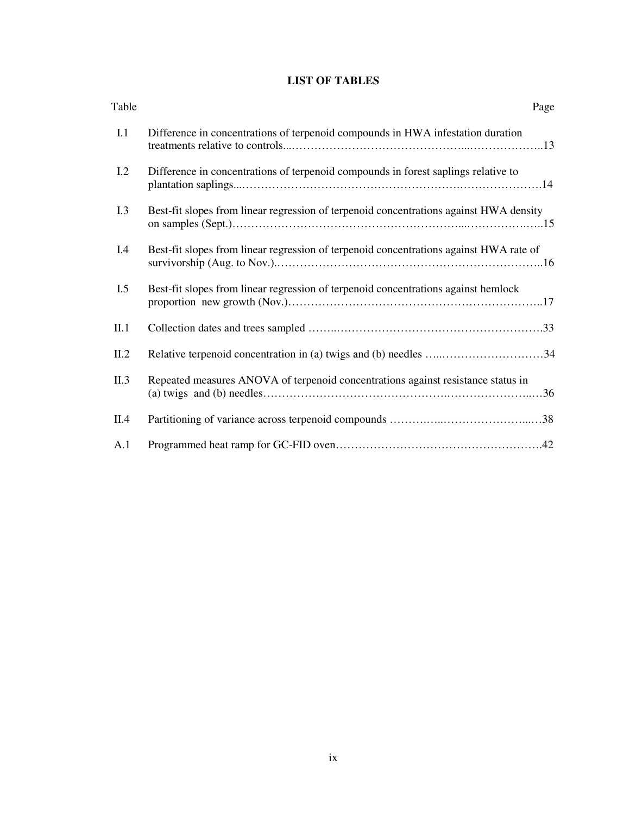## **LIST OF TABLES**

| Table | Page                                                                                   |
|-------|----------------------------------------------------------------------------------------|
| I.1   | Difference in concentrations of terpenoid compounds in HWA infestation duration        |
| 1.2   | Difference in concentrations of terpenoid compounds in forest saplings relative to     |
| I.3   | Best-fit slopes from linear regression of terpenoid concentrations against HWA density |
| I.4   | Best-fit slopes from linear regression of terpenoid concentrations against HWA rate of |
| I.5   | Best-fit slopes from linear regression of terpenoid concentrations against hemlock     |
| II.1  |                                                                                        |
| II.2  | Relative terpenoid concentration in (a) twigs and (b) needles 34                       |
| II.3  | Repeated measures ANOVA of terpenoid concentrations against resistance status in       |
| II.4  |                                                                                        |
| A.1   |                                                                                        |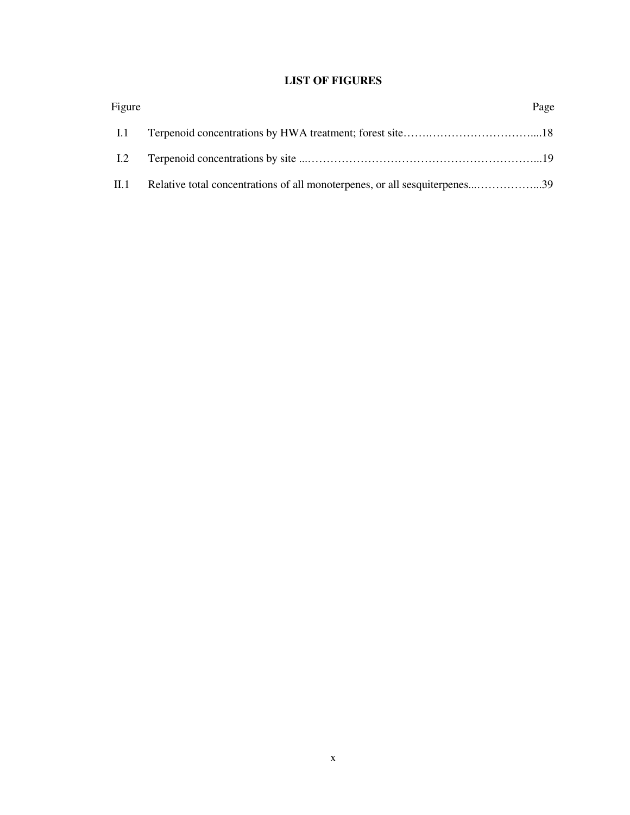# **LIST OF FIGURES**

| Figure      |                                                                            | Page |
|-------------|----------------------------------------------------------------------------|------|
| 1.1         |                                                                            |      |
| 1.2         |                                                                            |      |
| $\rm{II}.1$ | Relative total concentrations of all monoterpenes, or all sesquiterpenes39 |      |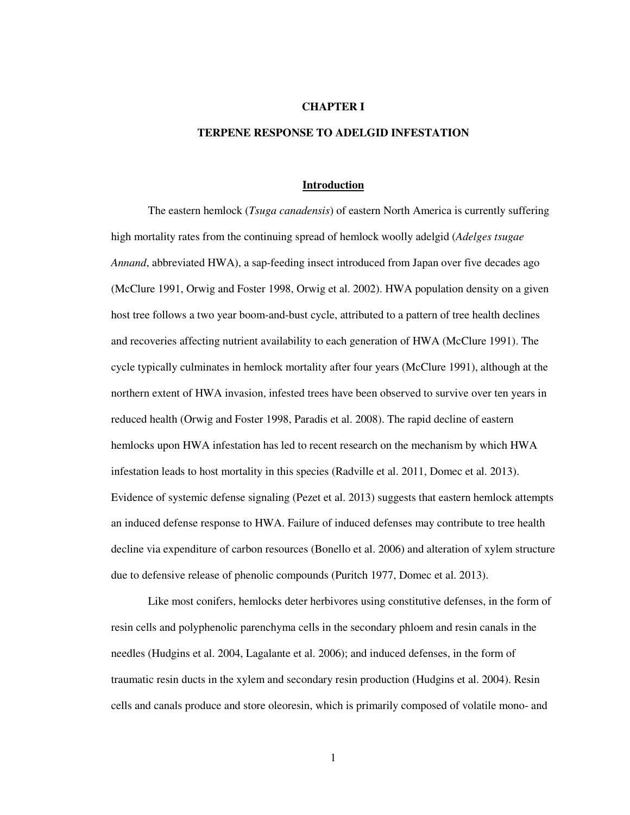## **CHAPTER I**

## **TERPENE RESPONSE TO ADELGID INFESTATION**

#### **Introduction**

 The eastern hemlock (*Tsuga canadensis*) of eastern North America is currently suffering high mortality rates from the continuing spread of hemlock woolly adelgid (*Adelges tsugae Annand*, abbreviated HWA), a sap-feeding insect introduced from Japan over five decades ago (McClure 1991, Orwig and Foster 1998, Orwig et al. 2002). HWA population density on a given host tree follows a two year boom-and-bust cycle, attributed to a pattern of tree health declines and recoveries affecting nutrient availability to each generation of HWA (McClure 1991). The cycle typically culminates in hemlock mortality after four years (McClure 1991), although at the northern extent of HWA invasion, infested trees have been observed to survive over ten years in reduced health (Orwig and Foster 1998, Paradis et al. 2008). The rapid decline of eastern hemlocks upon HWA infestation has led to recent research on the mechanism by which HWA infestation leads to host mortality in this species (Radville et al. 2011, Domec et al. 2013). Evidence of systemic defense signaling (Pezet et al. 2013) suggests that eastern hemlock attempts an induced defense response to HWA. Failure of induced defenses may contribute to tree health decline via expenditure of carbon resources (Bonello et al. 2006) and alteration of xylem structure due to defensive release of phenolic compounds (Puritch 1977, Domec et al. 2013).

 Like most conifers, hemlocks deter herbivores using constitutive defenses, in the form of resin cells and polyphenolic parenchyma cells in the secondary phloem and resin canals in the needles (Hudgins et al. 2004, Lagalante et al. 2006); and induced defenses, in the form of traumatic resin ducts in the xylem and secondary resin production (Hudgins et al. 2004). Resin cells and canals produce and store oleoresin, which is primarily composed of volatile mono- and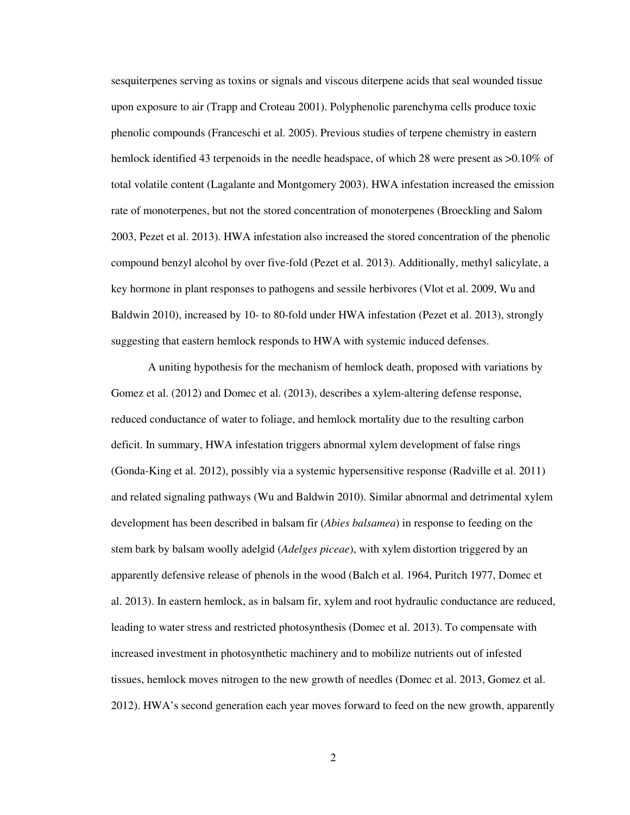sesquiterpenes serving as toxins or signals and viscous diterpene acids that seal wounded tissue upon exposure to air (Trapp and Croteau 2001). Polyphenolic parenchyma cells produce toxic phenolic compounds (Franceschi et al. 2005). Previous studies of terpene chemistry in eastern hemlock identified 43 terpenoids in the needle headspace, of which 28 were present as  $>0.10\%$  of total volatile content (Lagalante and Montgomery 2003). HWA infestation increased the emission rate of monoterpenes, but not the stored concentration of monoterpenes (Broeckling and Salom 2003, Pezet et al. 2013). HWA infestation also increased the stored concentration of the phenolic compound benzyl alcohol by over five-fold (Pezet et al. 2013). Additionally, methyl salicylate, a key hormone in plant responses to pathogens and sessile herbivores (Vlot et al. 2009, Wu and Baldwin 2010), increased by 10- to 80-fold under HWA infestation (Pezet et al. 2013), strongly suggesting that eastern hemlock responds to HWA with systemic induced defenses.

A uniting hypothesis for the mechanism of hemlock death, proposed with variations by Gomez et al. (2012) and Domec et al. (2013), describes a xylem-altering defense response, reduced conductance of water to foliage, and hemlock mortality due to the resulting carbon deficit. In summary, HWA infestation triggers abnormal xylem development of false rings (Gonda-King et al. 2012), possibly via a systemic hypersensitive response (Radville et al. 2011) and related signaling pathways (Wu and Baldwin 2010). Similar abnormal and detrimental xylem development has been described in balsam fir (*Abies balsamea*) in response to feeding on the stem bark by balsam woolly adelgid (*Adelges piceae*), with xylem distortion triggered by an apparently defensive release of phenols in the wood (Balch et al. 1964, Puritch 1977, Domec et al. 2013). In eastern hemlock, as in balsam fir, xylem and root hydraulic conductance are reduced, leading to water stress and restricted photosynthesis (Domec et al. 2013). To compensate with increased investment in photosynthetic machinery and to mobilize nutrients out of infested tissues, hemlock moves nitrogen to the new growth of needles (Domec et al. 2013, Gomez et al. 2012). HWA's second generation each year moves forward to feed on the new growth, apparently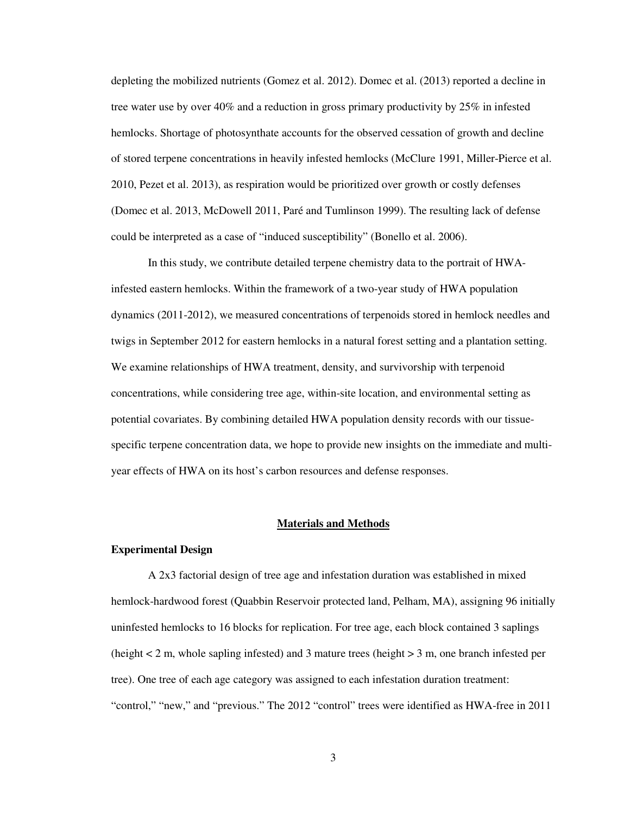depleting the mobilized nutrients (Gomez et al. 2012). Domec et al. (2013) reported a decline in tree water use by over 40% and a reduction in gross primary productivity by 25% in infested hemlocks. Shortage of photosynthate accounts for the observed cessation of growth and decline of stored terpene concentrations in heavily infested hemlocks (McClure 1991, Miller-Pierce et al. 2010, Pezet et al. 2013), as respiration would be prioritized over growth or costly defenses (Domec et al. 2013, McDowell 2011, Paré and Tumlinson 1999). The resulting lack of defense could be interpreted as a case of "induced susceptibility" (Bonello et al. 2006).

In this study, we contribute detailed terpene chemistry data to the portrait of HWAinfested eastern hemlocks. Within the framework of a two-year study of HWA population dynamics (2011-2012), we measured concentrations of terpenoids stored in hemlock needles and twigs in September 2012 for eastern hemlocks in a natural forest setting and a plantation setting. We examine relationships of HWA treatment, density, and survivorship with terpenoid concentrations, while considering tree age, within-site location, and environmental setting as potential covariates. By combining detailed HWA population density records with our tissuespecific terpene concentration data, we hope to provide new insights on the immediate and multiyear effects of HWA on its host's carbon resources and defense responses.

## **Materials and Methods**

## **Experimental Design**

 A 2x3 factorial design of tree age and infestation duration was established in mixed hemlock-hardwood forest (Quabbin Reservoir protected land, Pelham, MA), assigning 96 initially uninfested hemlocks to 16 blocks for replication. For tree age, each block contained 3 saplings (height  $<$  2 m, whole sapling infested) and 3 mature trees (height  $>$  3 m, one branch infested per tree). One tree of each age category was assigned to each infestation duration treatment: "control," "new," and "previous." The 2012 "control" trees were identified as HWA-free in 2011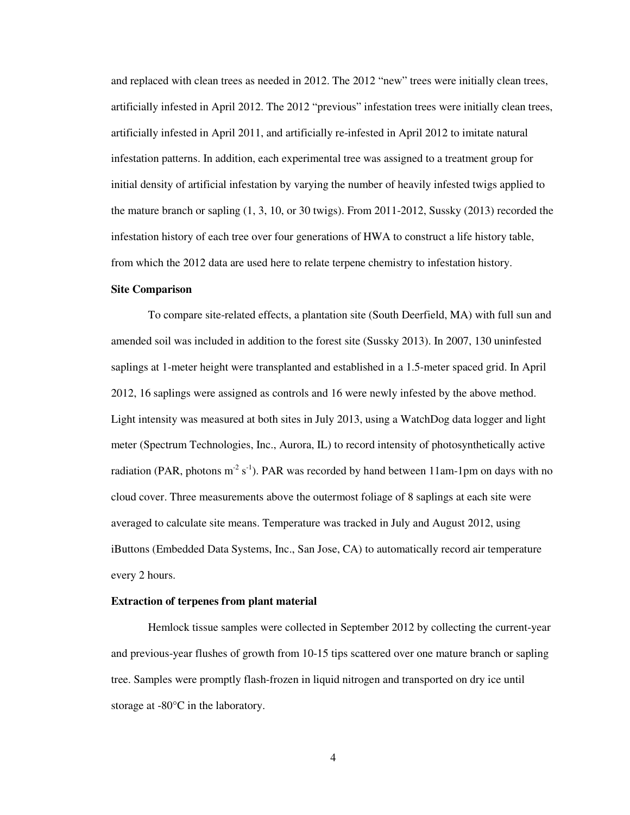and replaced with clean trees as needed in 2012. The 2012 "new" trees were initially clean trees, artificially infested in April 2012. The 2012 "previous" infestation trees were initially clean trees, artificially infested in April 2011, and artificially re-infested in April 2012 to imitate natural infestation patterns. In addition, each experimental tree was assigned to a treatment group for initial density of artificial infestation by varying the number of heavily infested twigs applied to the mature branch or sapling (1, 3, 10, or 30 twigs). From 2011-2012, Sussky (2013) recorded the infestation history of each tree over four generations of HWA to construct a life history table, from which the 2012 data are used here to relate terpene chemistry to infestation history.

## **Site Comparison**

 To compare site-related effects, a plantation site (South Deerfield, MA) with full sun and amended soil was included in addition to the forest site (Sussky 2013). In 2007, 130 uninfested saplings at 1-meter height were transplanted and established in a 1.5-meter spaced grid. In April 2012, 16 saplings were assigned as controls and 16 were newly infested by the above method. Light intensity was measured at both sites in July 2013, using a WatchDog data logger and light meter (Spectrum Technologies, Inc., Aurora, IL) to record intensity of photosynthetically active radiation (PAR, photons  $m^2 s^{-1}$ ). PAR was recorded by hand between 11am-1pm on days with no cloud cover. Three measurements above the outermost foliage of 8 saplings at each site were averaged to calculate site means. Temperature was tracked in July and August 2012, using iButtons (Embedded Data Systems, Inc., San Jose, CA) to automatically record air temperature every 2 hours.

## **Extraction of terpenes from plant material**

 Hemlock tissue samples were collected in September 2012 by collecting the current-year and previous-year flushes of growth from 10-15 tips scattered over one mature branch or sapling tree. Samples were promptly flash-frozen in liquid nitrogen and transported on dry ice until storage at -80°C in the laboratory.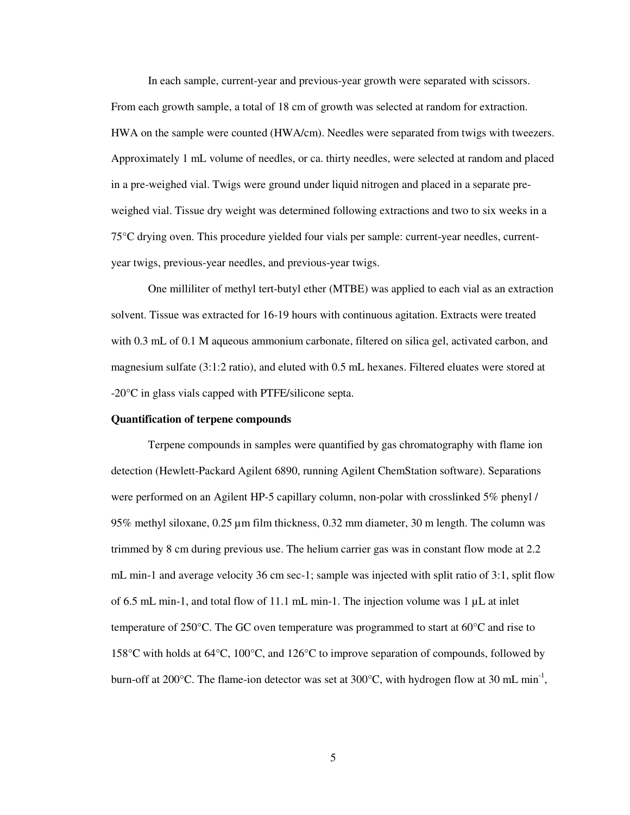In each sample, current-year and previous-year growth were separated with scissors. From each growth sample, a total of 18 cm of growth was selected at random for extraction. HWA on the sample were counted (HWA/cm). Needles were separated from twigs with tweezers. Approximately 1 mL volume of needles, or ca. thirty needles, were selected at random and placed in a pre-weighed vial. Twigs were ground under liquid nitrogen and placed in a separate preweighed vial. Tissue dry weight was determined following extractions and two to six weeks in a 75°C drying oven. This procedure yielded four vials per sample: current-year needles, currentyear twigs, previous-year needles, and previous-year twigs.

One milliliter of methyl tert-butyl ether (MTBE) was applied to each vial as an extraction solvent. Tissue was extracted for 16-19 hours with continuous agitation. Extracts were treated with 0.3 mL of 0.1 M aqueous ammonium carbonate, filtered on silica gel, activated carbon, and magnesium sulfate (3:1:2 ratio), and eluted with 0.5 mL hexanes. Filtered eluates were stored at -20°C in glass vials capped with PTFE/silicone septa.

## **Quantification of terpene compounds**

 Terpene compounds in samples were quantified by gas chromatography with flame ion detection (Hewlett-Packard Agilent 6890, running Agilent ChemStation software). Separations were performed on an Agilent HP-5 capillary column, non-polar with crosslinked 5% phenyl / 95% methyl siloxane, 0.25 µm film thickness, 0.32 mm diameter, 30 m length. The column was trimmed by 8 cm during previous use. The helium carrier gas was in constant flow mode at 2.2 mL min-1 and average velocity 36 cm sec-1; sample was injected with split ratio of 3:1, split flow of 6.5 mL min-1, and total flow of 11.1 mL min-1. The injection volume was  $1 \mu$ L at inlet temperature of 250°C. The GC oven temperature was programmed to start at 60°C and rise to 158°C with holds at 64°C, 100°C, and 126°C to improve separation of compounds, followed by burn-off at 200 $^{\circ}$ C. The flame-ion detector was set at 300 $^{\circ}$ C, with hydrogen flow at 30 mL min<sup>-1</sup>,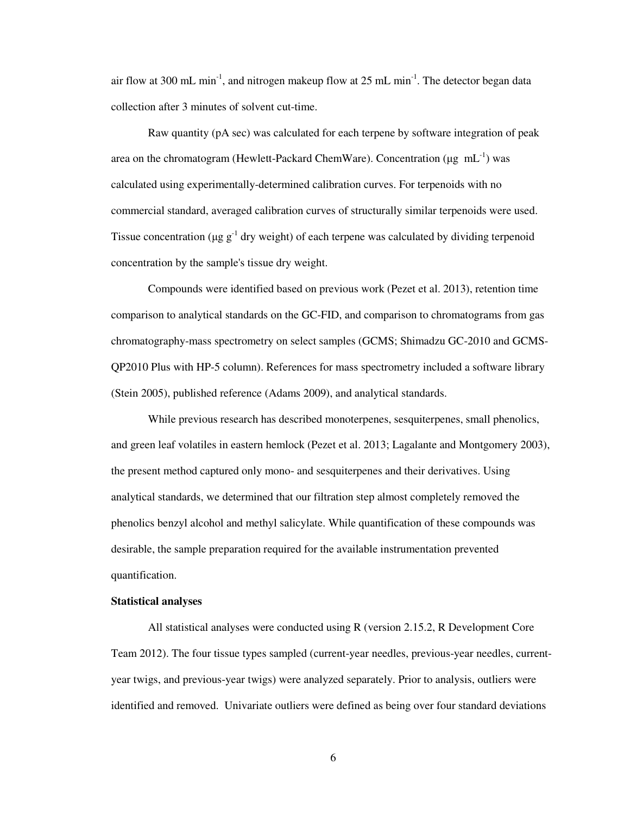air flow at 300 mL min<sup>-1</sup>, and nitrogen makeup flow at 25 mL min<sup>-1</sup>. The detector began data collection after 3 minutes of solvent cut-time.

Raw quantity (pA sec) was calculated for each terpene by software integration of peak area on the chromatogram (Hewlett-Packard ChemWare). Concentration ( $\mu$ g mL<sup>-1</sup>) was calculated using experimentally-determined calibration curves. For terpenoids with no commercial standard, averaged calibration curves of structurally similar terpenoids were used. Tissue concentration ( $\mu$ g g<sup>-1</sup> dry weight) of each terpene was calculated by dividing terpenoid concentration by the sample's tissue dry weight.

Compounds were identified based on previous work (Pezet et al. 2013), retention time comparison to analytical standards on the GC-FID, and comparison to chromatograms from gas chromatography-mass spectrometry on select samples (GCMS; Shimadzu GC-2010 and GCMS-QP2010 Plus with HP-5 column). References for mass spectrometry included a software library (Stein 2005), published reference (Adams 2009), and analytical standards.

While previous research has described monoterpenes, sesquiterpenes, small phenolics, and green leaf volatiles in eastern hemlock (Pezet et al. 2013; Lagalante and Montgomery 2003), the present method captured only mono- and sesquiterpenes and their derivatives. Using analytical standards, we determined that our filtration step almost completely removed the phenolics benzyl alcohol and methyl salicylate. While quantification of these compounds was desirable, the sample preparation required for the available instrumentation prevented quantification.

### **Statistical analyses**

 All statistical analyses were conducted using R (version 2.15.2, R Development Core Team 2012). The four tissue types sampled (current-year needles, previous-year needles, currentyear twigs, and previous-year twigs) were analyzed separately. Prior to analysis, outliers were identified and removed. Univariate outliers were defined as being over four standard deviations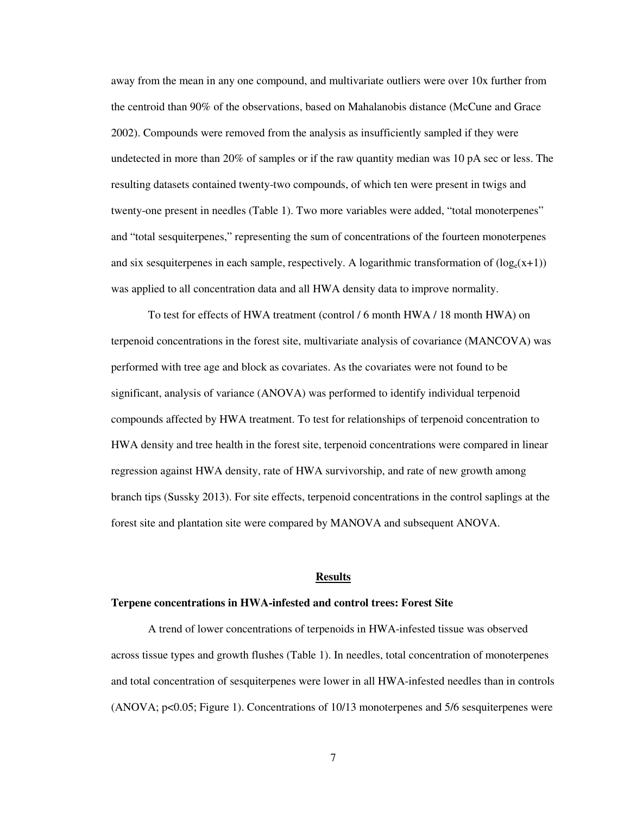away from the mean in any one compound, and multivariate outliers were over 10x further from the centroid than 90% of the observations, based on Mahalanobis distance (McCune and Grace 2002). Compounds were removed from the analysis as insufficiently sampled if they were undetected in more than 20% of samples or if the raw quantity median was 10 pA sec or less. The resulting datasets contained twenty-two compounds, of which ten were present in twigs and twenty-one present in needles (Table 1). Two more variables were added, "total monoterpenes" and "total sesquiterpenes," representing the sum of concentrations of the fourteen monoterpenes and six sesquiterpenes in each sample, respectively. A logarithmic transformation of  $(\log_e(x+1))$ was applied to all concentration data and all HWA density data to improve normality.

 To test for effects of HWA treatment (control / 6 month HWA / 18 month HWA) on terpenoid concentrations in the forest site, multivariate analysis of covariance (MANCOVA) was performed with tree age and block as covariates. As the covariates were not found to be significant, analysis of variance (ANOVA) was performed to identify individual terpenoid compounds affected by HWA treatment. To test for relationships of terpenoid concentration to HWA density and tree health in the forest site, terpenoid concentrations were compared in linear regression against HWA density, rate of HWA survivorship, and rate of new growth among branch tips (Sussky 2013). For site effects, terpenoid concentrations in the control saplings at the forest site and plantation site were compared by MANOVA and subsequent ANOVA.

## **Results**

### **Terpene concentrations in HWA-infested and control trees: Forest Site**

A trend of lower concentrations of terpenoids in HWA-infested tissue was observed across tissue types and growth flushes (Table 1). In needles, total concentration of monoterpenes and total concentration of sesquiterpenes were lower in all HWA-infested needles than in controls (ANOVA; p<0.05; Figure 1). Concentrations of 10/13 monoterpenes and 5/6 sesquiterpenes were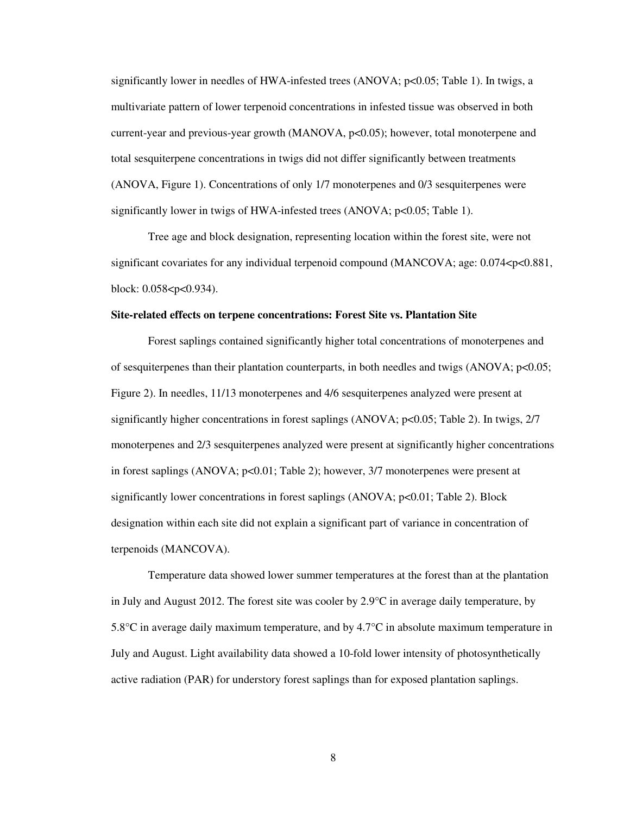significantly lower in needles of HWA-infested trees (ANOVA; p<0.05; Table 1). In twigs, a multivariate pattern of lower terpenoid concentrations in infested tissue was observed in both current-year and previous-year growth (MANOVA,  $p<0.05$ ); however, total monoterpene and total sesquiterpene concentrations in twigs did not differ significantly between treatments (ANOVA, Figure 1). Concentrations of only 1/7 monoterpenes and 0/3 sesquiterpenes were significantly lower in twigs of HWA-infested trees (ANOVA;  $p<0.05$ ; Table 1).

Tree age and block designation, representing location within the forest site, were not significant covariates for any individual terpenoid compound (MANCOVA; age: 0.074<p<0.881, block: 0.058<p<0.934).

#### **Site-related effects on terpene concentrations: Forest Site vs. Plantation Site**

 Forest saplings contained significantly higher total concentrations of monoterpenes and of sesquiterpenes than their plantation counterparts, in both needles and twigs (ANOVA; p<0.05; Figure 2). In needles, 11/13 monoterpenes and 4/6 sesquiterpenes analyzed were present at significantly higher concentrations in forest saplings (ANOVA; p<0.05; Table 2). In twigs,  $2/7$ monoterpenes and 2/3 sesquiterpenes analyzed were present at significantly higher concentrations in forest saplings (ANOVA; p<0.01; Table 2); however, 3/7 monoterpenes were present at significantly lower concentrations in forest saplings (ANOVA; p<0.01; Table 2). Block designation within each site did not explain a significant part of variance in concentration of terpenoids (MANCOVA).

 Temperature data showed lower summer temperatures at the forest than at the plantation in July and August 2012. The forest site was cooler by 2.9°C in average daily temperature, by 5.8°C in average daily maximum temperature, and by 4.7°C in absolute maximum temperature in July and August. Light availability data showed a 10-fold lower intensity of photosynthetically active radiation (PAR) for understory forest saplings than for exposed plantation saplings.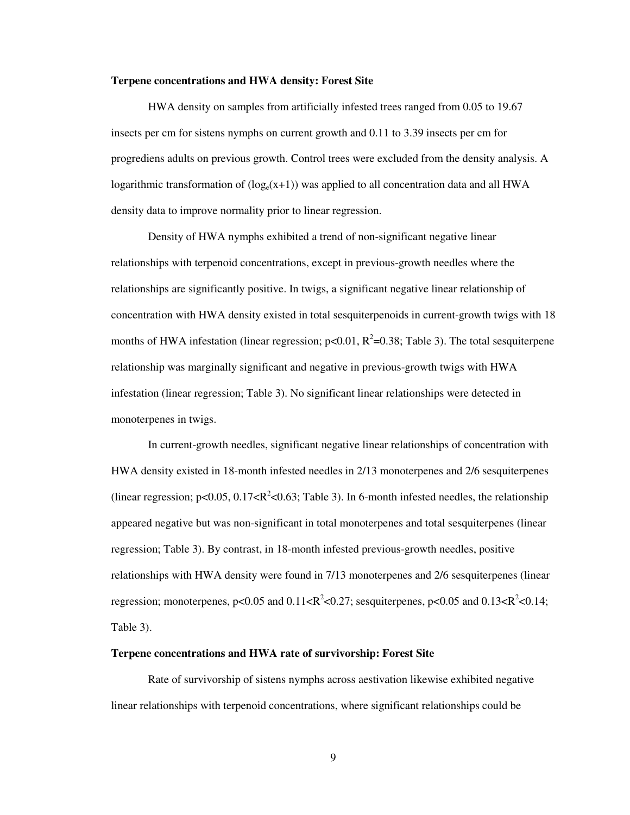#### **Terpene concentrations and HWA density: Forest Site**

 HWA density on samples from artificially infested trees ranged from 0.05 to 19.67 insects per cm for sistens nymphs on current growth and 0.11 to 3.39 insects per cm for progrediens adults on previous growth. Control trees were excluded from the density analysis. A logarithmic transformation of  $(log_e(x+1))$  was applied to all concentration data and all HWA density data to improve normality prior to linear regression.

Density of HWA nymphs exhibited a trend of non-significant negative linear relationships with terpenoid concentrations, except in previous-growth needles where the relationships are significantly positive. In twigs, a significant negative linear relationship of concentration with HWA density existed in total sesquiterpenoids in current-growth twigs with 18 months of HWA infestation (linear regression;  $p<0.01$ ,  $R^2=0.38$ ; Table 3). The total sesquiterpene relationship was marginally significant and negative in previous-growth twigs with HWA infestation (linear regression; Table 3). No significant linear relationships were detected in monoterpenes in twigs.

In current-growth needles, significant negative linear relationships of concentration with HWA density existed in 18-month infested needles in 2/13 monoterpenes and 2/6 sesquiterpenes (linear regression;  $p<0.05$ ,  $0.17 < R^2 < 0.63$ ; Table 3). In 6-month infested needles, the relationship appeared negative but was non-significant in total monoterpenes and total sesquiterpenes (linear regression; Table 3). By contrast, in 18-month infested previous-growth needles, positive relationships with HWA density were found in 7/13 monoterpenes and 2/6 sesquiterpenes (linear regression; monoterpenes,  $p < 0.05$  and  $0.11 < R^2 < 0.27$ ; sesquiterpenes,  $p < 0.05$  and  $0.13 < R^2 < 0.14$ ; Table 3).

## **Terpene concentrations and HWA rate of survivorship: Forest Site**

 Rate of survivorship of sistens nymphs across aestivation likewise exhibited negative linear relationships with terpenoid concentrations, where significant relationships could be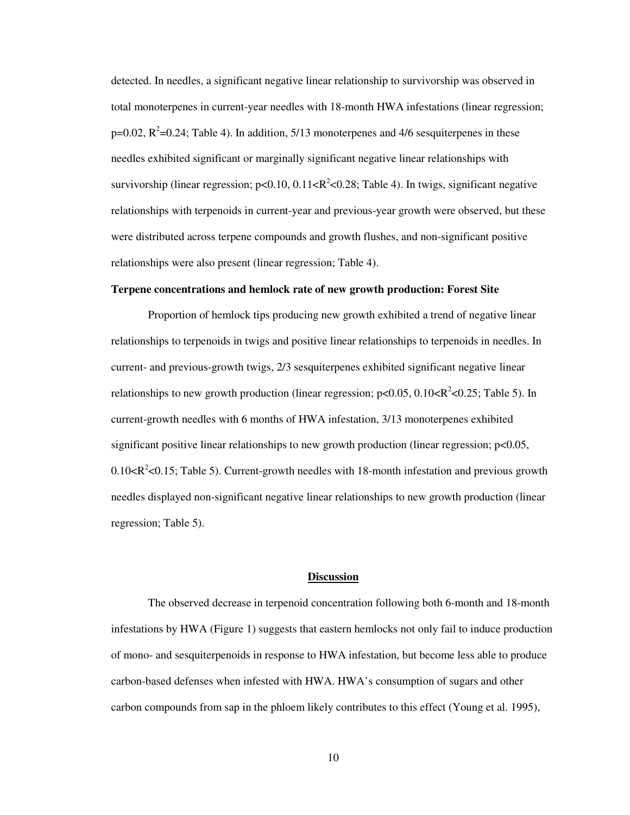detected. In needles, a significant negative linear relationship to survivorship was observed in total monoterpenes in current-year needles with 18-month HWA infestations (linear regression;  $p=0.02$ ,  $R^2=0.24$ ; Table 4). In addition, 5/13 monoterpenes and 4/6 sesquiterpenes in these needles exhibited significant or marginally significant negative linear relationships with survivorship (linear regression;  $p<0.10$ ,  $0.11 < R^2 < 0.28$ ; Table 4). In twigs, significant negative relationships with terpenoids in current-year and previous-year growth were observed, but these were distributed across terpene compounds and growth flushes, and non-significant positive relationships were also present (linear regression; Table 4).

## **Terpene concentrations and hemlock rate of new growth production: Forest Site**

Proportion of hemlock tips producing new growth exhibited a trend of negative linear relationships to terpenoids in twigs and positive linear relationships to terpenoids in needles. In current- and previous-growth twigs, 2/3 sesquiterpenes exhibited significant negative linear relationships to new growth production (linear regression;  $p<0.05$ ,  $0.10 < R^2 < 0.25$ ; Table 5). In current-growth needles with 6 months of HWA infestation, 3/13 monoterpenes exhibited significant positive linear relationships to new growth production (linear regression; p<0.05,  $0.10 < R<sup>2</sup> < 0.15$ ; Table 5). Current-growth needles with 18-month infestation and previous growth needles displayed non-significant negative linear relationships to new growth production (linear regression; Table 5).

## **Discussion**

 The observed decrease in terpenoid concentration following both 6-month and 18-month infestations by HWA (Figure 1) suggests that eastern hemlocks not only fail to induce production of mono- and sesquiterpenoids in response to HWA infestation, but become less able to produce carbon-based defenses when infested with HWA. HWA's consumption of sugars and other carbon compounds from sap in the phloem likely contributes to this effect (Young et al. 1995),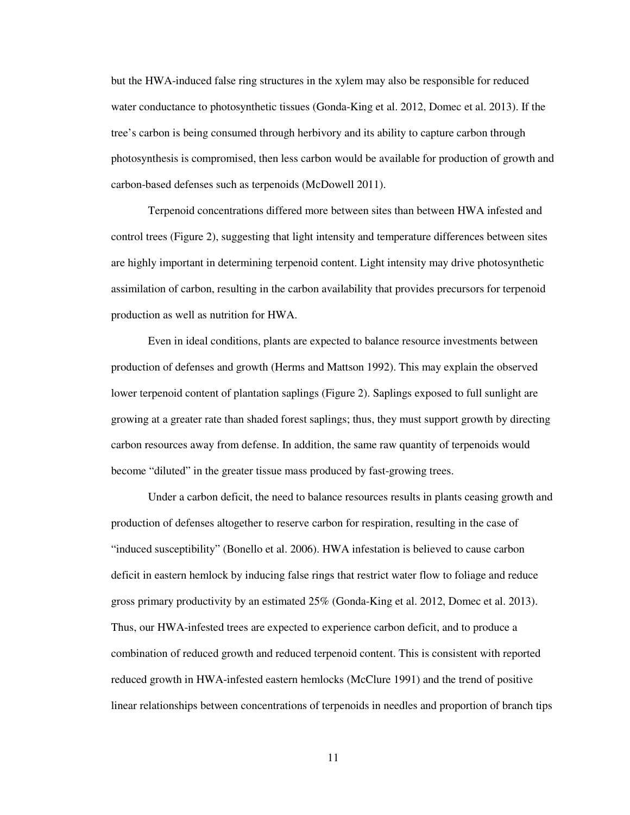but the HWA-induced false ring structures in the xylem may also be responsible for reduced water conductance to photosynthetic tissues (Gonda-King et al. 2012, Domec et al. 2013). If the tree's carbon is being consumed through herbivory and its ability to capture carbon through photosynthesis is compromised, then less carbon would be available for production of growth and carbon-based defenses such as terpenoids (McDowell 2011).

Terpenoid concentrations differed more between sites than between HWA infested and control trees (Figure 2), suggesting that light intensity and temperature differences between sites are highly important in determining terpenoid content. Light intensity may drive photosynthetic assimilation of carbon, resulting in the carbon availability that provides precursors for terpenoid production as well as nutrition for HWA.

Even in ideal conditions, plants are expected to balance resource investments between production of defenses and growth (Herms and Mattson 1992). This may explain the observed lower terpenoid content of plantation saplings (Figure 2). Saplings exposed to full sunlight are growing at a greater rate than shaded forest saplings; thus, they must support growth by directing carbon resources away from defense. In addition, the same raw quantity of terpenoids would become "diluted" in the greater tissue mass produced by fast-growing trees.

Under a carbon deficit, the need to balance resources results in plants ceasing growth and production of defenses altogether to reserve carbon for respiration, resulting in the case of "induced susceptibility" (Bonello et al. 2006). HWA infestation is believed to cause carbon deficit in eastern hemlock by inducing false rings that restrict water flow to foliage and reduce gross primary productivity by an estimated 25% (Gonda-King et al. 2012, Domec et al. 2013). Thus, our HWA-infested trees are expected to experience carbon deficit, and to produce a combination of reduced growth and reduced terpenoid content. This is consistent with reported reduced growth in HWA-infested eastern hemlocks (McClure 1991) and the trend of positive linear relationships between concentrations of terpenoids in needles and proportion of branch tips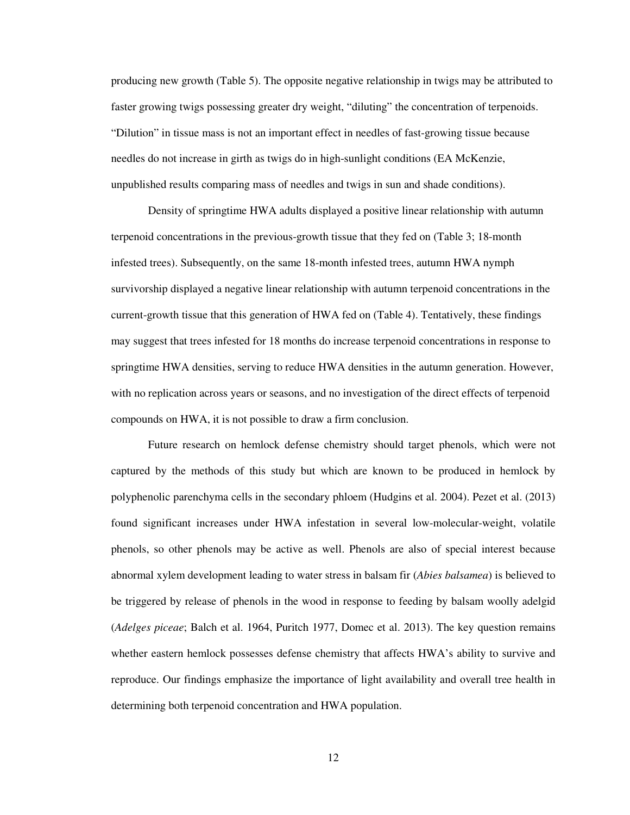producing new growth (Table 5). The opposite negative relationship in twigs may be attributed to faster growing twigs possessing greater dry weight, "diluting" the concentration of terpenoids. "Dilution" in tissue mass is not an important effect in needles of fast-growing tissue because needles do not increase in girth as twigs do in high-sunlight conditions (EA McKenzie, unpublished results comparing mass of needles and twigs in sun and shade conditions).

Density of springtime HWA adults displayed a positive linear relationship with autumn terpenoid concentrations in the previous-growth tissue that they fed on (Table 3; 18-month infested trees). Subsequently, on the same 18-month infested trees, autumn HWA nymph survivorship displayed a negative linear relationship with autumn terpenoid concentrations in the current-growth tissue that this generation of HWA fed on (Table 4). Tentatively, these findings may suggest that trees infested for 18 months do increase terpenoid concentrations in response to springtime HWA densities, serving to reduce HWA densities in the autumn generation. However, with no replication across years or seasons, and no investigation of the direct effects of terpenoid compounds on HWA, it is not possible to draw a firm conclusion.

Future research on hemlock defense chemistry should target phenols, which were not captured by the methods of this study but which are known to be produced in hemlock by polyphenolic parenchyma cells in the secondary phloem (Hudgins et al. 2004). Pezet et al. (2013) found significant increases under HWA infestation in several low-molecular-weight, volatile phenols, so other phenols may be active as well. Phenols are also of special interest because abnormal xylem development leading to water stress in balsam fir (*Abies balsamea*) is believed to be triggered by release of phenols in the wood in response to feeding by balsam woolly adelgid (*Adelges piceae*; Balch et al. 1964, Puritch 1977, Domec et al. 2013). The key question remains whether eastern hemlock possesses defense chemistry that affects HWA's ability to survive and reproduce. Our findings emphasize the importance of light availability and overall tree health in determining both terpenoid concentration and HWA population.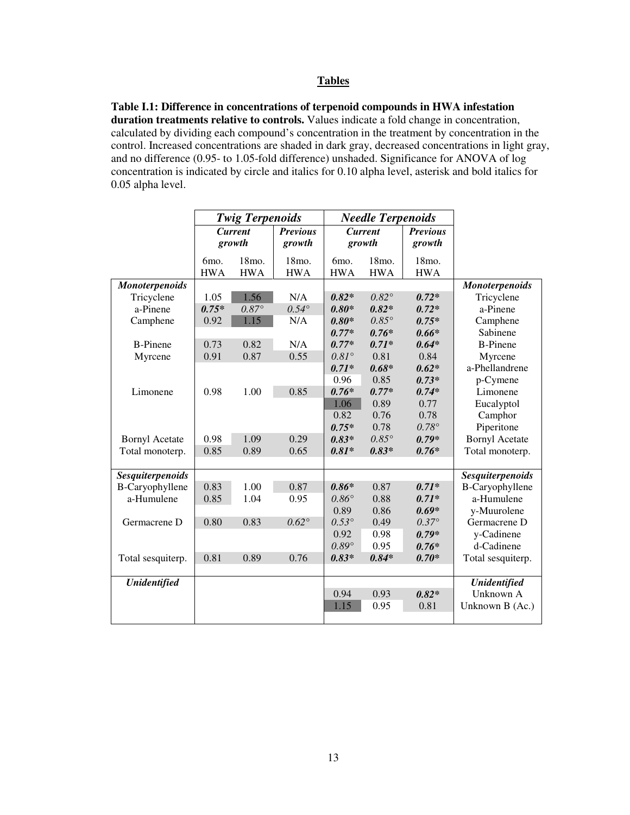## **Tables**

**Table I.1: Difference in concentrations of terpenoid compounds in HWA infestation duration treatments relative to controls.** Values indicate a fold change in concentration, calculated by dividing each compound's concentration in the treatment by concentration in the control. Increased concentrations are shaded in dark gray, decreased concentrations in light gray, and no difference (0.95- to 1.05-fold difference) unshaded. Significance for ANOVA of log concentration is indicated by circle and italics for 0.10 alpha level, asterisk and bold italics for 0.05 alpha level.

|                         |                   | <b>Twig Terpenoids</b> |                    |                   | <b>Needle Terpenoids</b> |                 |                         |        |  |        |  |
|-------------------------|-------------------|------------------------|--------------------|-------------------|--------------------------|-----------------|-------------------------|--------|--|--------|--|
|                         |                   | <b>Current</b>         | <b>Previous</b>    |                   | <b>Current</b>           | <b>Previous</b> |                         |        |  |        |  |
|                         |                   | growth                 | growth             |                   |                          |                 |                         | growth |  | growth |  |
|                         | 6 <sub>mo</sub> . | 18mo.                  | 18 <sub>mo</sub> . | 6 <sub>mo</sub> . | 18mo.                    | 18mo.           |                         |        |  |        |  |
|                         | <b>HWA</b>        | <b>HWA</b>             | <b>HWA</b>         | <b>HWA</b>        | <b>HWA</b>               | <b>HWA</b>      |                         |        |  |        |  |
| <b>Monoterpenoids</b>   |                   |                        |                    |                   |                          |                 | <b>Monoterpenoids</b>   |        |  |        |  |
| Tricyclene              | 1.05              | 1.56                   | N/A                | $0.82*$           | $0.82^\circ$             | $0.72*$         | Tricyclene              |        |  |        |  |
| a-Pinene                | $0.75*$           | $0.87^\circ$           | $0.54^\circ$       | $0.80*$           | $0.82*$                  | $0.72*$         | a-Pinene                |        |  |        |  |
| Camphene                | 0.92              | 1.15                   | N/A                | $0.80*$           | $0.85^\circ$             | $0.75*$         | Camphene                |        |  |        |  |
|                         |                   |                        |                    | $0.77*$           | $0.76*$                  | $0.66*$         | Sabinene                |        |  |        |  |
| <b>B-Pinene</b>         | 0.73              | 0.82                   | N/A                | $0.77*$           | $0.71*$                  | $0.64*$         | <b>B-Pinene</b>         |        |  |        |  |
| Myrcene                 | 0.91              | 0.87                   | 0.55               | $0.81^\circ$      | 0.81                     | 0.84            | Myrcene                 |        |  |        |  |
|                         |                   |                        |                    | $0.71*$           | $0.68*$                  | $0.62*$         | a-Phellandrene          |        |  |        |  |
|                         |                   |                        |                    | 0.96              | 0.85                     | $0.73*$         | p-Cymene                |        |  |        |  |
| Limonene                | 0.98              | 1.00                   | 0.85               | $0.76*$           | $0.77*$                  | $0.74*$         | Limonene                |        |  |        |  |
|                         |                   |                        |                    | 1.06              | 0.89                     | 0.77            | Eucalyptol              |        |  |        |  |
|                         |                   |                        |                    | 0.82              | 0.76                     | 0.78            | Camphor                 |        |  |        |  |
|                         |                   |                        |                    | $0.75*$           | 0.78                     | $0.78^\circ$    | Piperitone              |        |  |        |  |
| <b>Bornyl Acetate</b>   | 0.98              | 1.09                   | 0.29               | $0.83*$           | $0.85^\circ$             | $0.79*$         | <b>Bornyl Acetate</b>   |        |  |        |  |
| Total monoterp.         | 0.85              | 0.89                   | 0.65               | $0.81*$           | $0.83*$                  | $0.76*$         | Total monoterp.         |        |  |        |  |
|                         |                   |                        |                    |                   |                          |                 |                         |        |  |        |  |
| <b>Sesquiterpenoids</b> |                   |                        |                    |                   |                          |                 | <b>Sesquiterpenoids</b> |        |  |        |  |
| B-Caryophyllene         | 0.83              | 1.00                   | 0.87               | $0.86*$           | 0.87                     | $0.71*$         | <b>B-Caryophyllene</b>  |        |  |        |  |
| a-Humulene              | 0.85              | 1.04                   | 0.95               | $0.86^\circ$      | 0.88                     | $0.71*$         | a-Humulene              |        |  |        |  |
|                         |                   |                        |                    | 0.89              | 0.86                     | $0.69*$         | y-Muurolene             |        |  |        |  |
| Germacrene D            | 0.80              | 0.83                   | $0.62^\circ$       | $0.53^\circ$      | 0.49                     | $0.37^{\circ}$  | Germacrene D            |        |  |        |  |
|                         |                   |                        |                    | 0.92              | 0.98                     | $0.79*$         | y-Cadinene              |        |  |        |  |
|                         |                   |                        |                    | $0.89^\circ$      | 0.95                     | $0.76*$         | d-Cadinene              |        |  |        |  |
| Total sesquiterp.       | 0.81              | 0.89                   | 0.76               | $0.83*$           | $0.84*$                  | $0.70*$         | Total sesquiterp.       |        |  |        |  |
|                         |                   |                        |                    |                   |                          |                 |                         |        |  |        |  |
| <b>Unidentified</b>     |                   |                        |                    |                   |                          |                 | <b>Unidentified</b>     |        |  |        |  |
|                         |                   |                        |                    | 0.94              | 0.93                     | $0.82*$         | Unknown A               |        |  |        |  |
|                         |                   |                        |                    | 1.15              | 0.95                     | 0.81            | Unknown B (Ac.)         |        |  |        |  |
|                         |                   |                        |                    |                   |                          |                 |                         |        |  |        |  |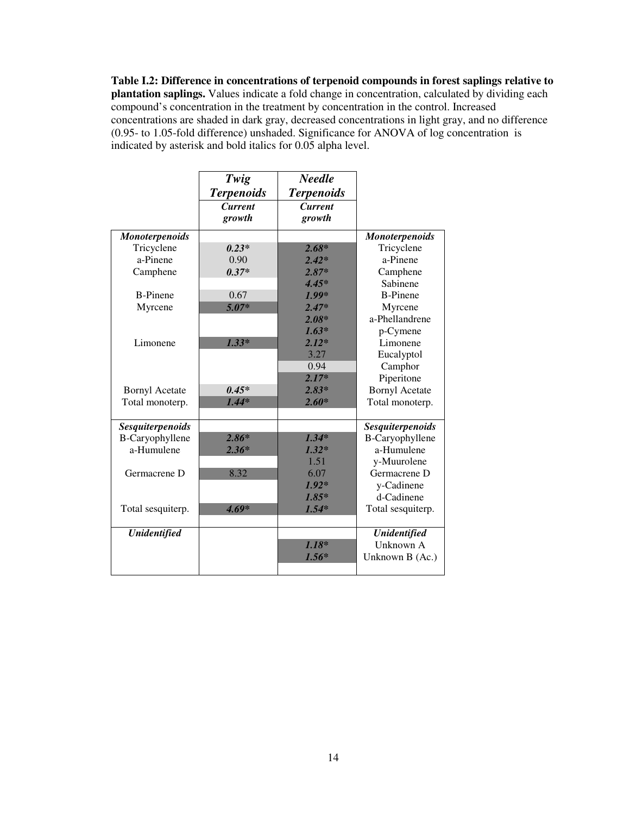**Table I.2: Difference in concentrations of terpenoid compounds in forest saplings relative to plantation saplings.** Values indicate a fold change in concentration, calculated by dividing each compound's concentration in the treatment by concentration in the control. Increased concentrations are shaded in dark gray, decreased concentrations in light gray, and no difference (0.95- to 1.05-fold difference) unshaded. Significance for ANOVA of log concentration is indicated by asterisk and bold italics for 0.05 alpha level.

|                         | Twig              | <b>Needle</b>     |                         |
|-------------------------|-------------------|-------------------|-------------------------|
|                         | <b>Terpenoids</b> | <b>Terpenoids</b> |                         |
|                         | <b>Current</b>    | <b>Current</b>    |                         |
|                         | growth            | growth            |                         |
| <b>Monoterpenoids</b>   |                   |                   | <b>Monoterpenoids</b>   |
| Tricyclene              | $0.23*$           | $2.68*$           | Tricyclene              |
| a-Pinene                | 0.90              | $2.42*$           | a-Pinene                |
| Camphene                | $0.37*$           | $2.87*$           | Camphene                |
|                         |                   | $4.45*$           | Sabinene                |
| <b>B-Pinene</b>         | 0.67              | $1.99*$           | <b>B-Pinene</b>         |
| Myrcene                 | $5.07*$           | $2.47*$           | Myrcene                 |
|                         |                   | $2.08*$           | a-Phellandrene          |
|                         |                   | $1.63*$           | p-Cymene                |
| Limonene                | $1.33*$           | $2.12*$           | Limonene                |
|                         |                   | 3.27              | Eucalyptol              |
|                         |                   | 0.94              | Camphor                 |
|                         |                   | $2.17*$           | Piperitone              |
| <b>Bornyl Acetate</b>   | $0.45*$           | $2.83*$           | <b>Bornyl Acetate</b>   |
| Total monoterp.         | $1.44*$           | $2.60*$           | Total monoterp.         |
|                         |                   |                   |                         |
| <b>Sesquiterpenoids</b> |                   |                   | <b>Sesquiterpenoids</b> |
| <b>B-Caryophyllene</b>  | $2.86*$           | $1.34*$           | <b>B-Caryophyllene</b>  |
| a-Humulene              | $2.36*$           | $1.32*$           | a-Humulene              |
|                         |                   | 1.51              | y-Muurolene             |
| Germacrene D            | 8.32              | 6.07              | Germacrene D            |
|                         |                   | $1.92*$           | y-Cadinene              |
|                         |                   | $1.85*$           | d-Cadinene              |
| Total sesquiterp.       | $4.69*$           | $1.54*$           | Total sesquiterp.       |
|                         |                   |                   |                         |
| <b>Unidentified</b>     |                   |                   | <b>Unidentified</b>     |
|                         |                   | $1.18*$           | Unknown A               |
|                         |                   | $1.56*$           | Unknown B (Ac.)         |
|                         |                   |                   |                         |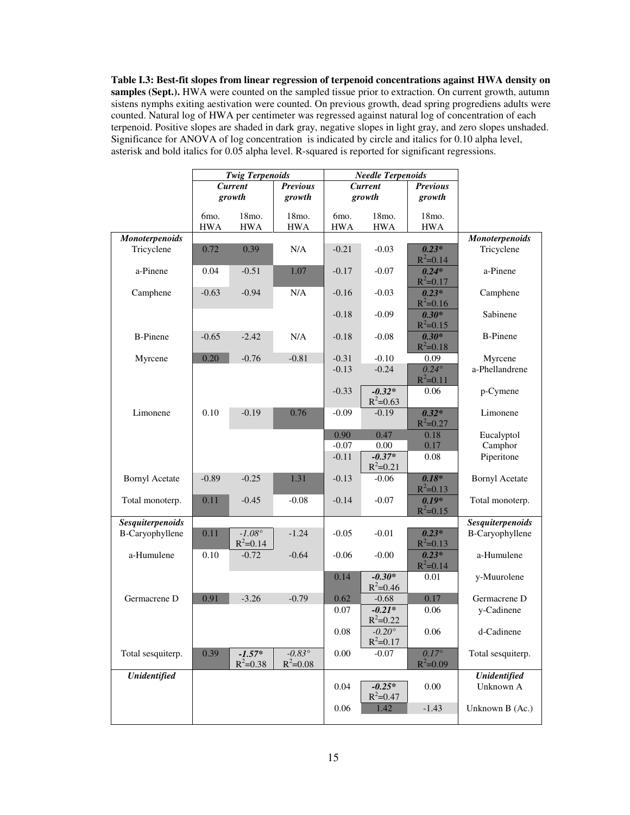**Table I.3: Best-fit slopes from linear regression of terpenoid concentrations against HWA density on samples (Sept.).** HWA were counted on the sampled tissue prior to extraction. On current growth, autumn sistens nymphs exiting aestivation were counted. On previous growth, dead spring progrediens adults were counted. Natural log of HWA per centimeter was regressed against natural log of concentration of each terpenoid. Positive slopes are shaded in dark gray, negative slopes in light gray, and zero slopes unshaded. Significance for ANOVA of log concentration is indicated by circle and italics for 0.10 alpha level, asterisk and bold italics for 0.05 alpha level. R-squared is reported for significant regressions.

|                       |                                 | <b>Twig Terpenoids</b>          |                                 |                | <b>Needle Terpenoids</b>        |                              |                         |
|-----------------------|---------------------------------|---------------------------------|---------------------------------|----------------|---------------------------------|------------------------------|-------------------------|
|                       |                                 | <b>Current</b>                  | <b>Previous</b>                 | <b>Current</b> |                                 | <b>Previous</b>              |                         |
|                       |                                 | growth                          | growth                          |                | growth<br>growth                |                              |                         |
|                       |                                 | 18mo.                           | 18mo.                           | 6mo.           | 18mo.                           | 18mo.                        |                         |
|                       | 6 <sub>mo</sub> .<br><b>HWA</b> | <b>HWA</b>                      | <b>HWA</b>                      | <b>HWA</b>     | <b>HWA</b>                      | <b>HWA</b>                   |                         |
| Monoterpenoids        |                                 |                                 |                                 |                |                                 |                              | Monoterpenoids          |
| Tricyclene            | 0.72                            | 0.39                            | N/A                             | $-0.21$        | $-0.03$                         | $0.23*$                      | Tricyclene              |
|                       |                                 |                                 |                                 |                |                                 | $R^2 = 0.14$                 |                         |
| a-Pinene              | 0.04                            | $-0.51$                         | 1.07                            | $-0.17$        | $-0.07$                         | $0.24*$<br>$R^2 = 0.17$      | a-Pinene                |
| Camphene              | $-0.63$                         | $-0.94$                         | N/A                             | $-0.16$        | $-0.03$                         | $0.23*$<br>$R^2 = 0.16$      | Camphene                |
|                       |                                 |                                 |                                 | $-0.18$        | $-0.09$                         | $0.30*$<br>$R^2 = 0.15$      | Sabinene                |
| <b>B-Pinene</b>       | $-0.65$                         | $-2.42$                         | N/A                             | $-0.18$        | $-0.08$                         | $0.30*$<br>$R^2 = 0.18$      | <b>B-Pinene</b>         |
| Myrcene               | 0.20                            | $-0.76$                         | $-0.81$                         | $-0.31$        | $-0.10$                         | 0.09                         | Myrcene                 |
|                       |                                 |                                 |                                 | $-0.13$        | $-0.24$                         | $0.24^\circ$<br>$R^2 = 0.11$ | a-Phellandrene          |
|                       |                                 |                                 |                                 | $-0.33$        | $-0.32*$<br>$R^2 = 0.63$        | 0.06                         | p-Cymene                |
| Limonene              | 0.10                            | $-0.19$                         | 0.76                            | $-0.09$        | $-0.19$                         | $0.32*$<br>$R^2 = 0.27$      | Limonene                |
|                       |                                 |                                 |                                 | 0.90           | 0.47                            | 0.18                         | Eucalyptol              |
|                       |                                 |                                 |                                 | $-0.07$        | $0.00\,$                        | 0.17                         | Camphor                 |
|                       |                                 |                                 |                                 | $-0.11$        | $-0.37*$<br>$R^2 = 0.21$        | 0.08                         | Piperitone              |
| <b>Bornyl Acetate</b> | $-0.89$                         | $-0.25$                         | 1.31                            | $-0.13$        | $-0.06$                         | $0.18*$<br>$R^2 = 0.13$      | <b>Bornyl Acetate</b>   |
| Total monoterp.       | 0.11                            | $-0.45$                         | $-0.08$                         | $-0.14$        | $-0.07$                         | $0.19*$<br>$R^2 = 0.15$      | Total monoterp.         |
| Sesquiterpenoids      |                                 |                                 |                                 |                |                                 |                              | <b>Sesquiterpenoids</b> |
| B-Caryophyllene       | 0.11                            | $-1.08^{\circ}$<br>$R^2 = 0.14$ | $-1.24$                         | $-0.05$        | $-0.01$                         | $0.23*$<br>$R^2 = 0.13$      | B-Caryophyllene         |
| a-Humulene            | 0.10                            | $-0.72$                         | $-0.64$                         | $-0.06$        | $-0.00$                         | $0.23*$<br>$R^2 = 0.14$      | a-Humulene              |
|                       |                                 |                                 |                                 | 0.14           | $-0.30*$<br>$R^2 = 0.46$        | 0.01                         | y-Muurolene             |
| Germacrene D          | 0.91                            | $-3.26$                         | $-0.79$                         | 0.62           | $-0.68$                         | 0.17                         | Germacrene D            |
|                       |                                 |                                 |                                 | 0.07           | $-0.21*$<br>$R^2 = 0.22$        | 0.06                         | y-Cadinene              |
|                       |                                 |                                 |                                 | $0.08\,$       | $-0.20^{\circ}$<br>$R^2 = 0.17$ | 0.06                         | d-Cadinene              |
| Total sesquiterp.     | 0.39                            | $-1.57*$<br>$R^2 = 0.38$        | $-0.83^{\circ}$<br>$R^2 = 0.08$ | 0.00           | $-0.07$                         | $0.17^\circ$<br>$R^2 = 0.09$ | Total sesquiterp.       |
| <b>Unidentified</b>   |                                 |                                 |                                 |                |                                 |                              | <b>Unidentified</b>     |
|                       |                                 |                                 |                                 | 0.04           | $-0.25*$<br>$R^2 = 0.47$        | 0.00                         | Unknown A               |
|                       |                                 |                                 |                                 | 0.06           | 1.42                            | $-1.43$                      | Unknown B (Ac.)         |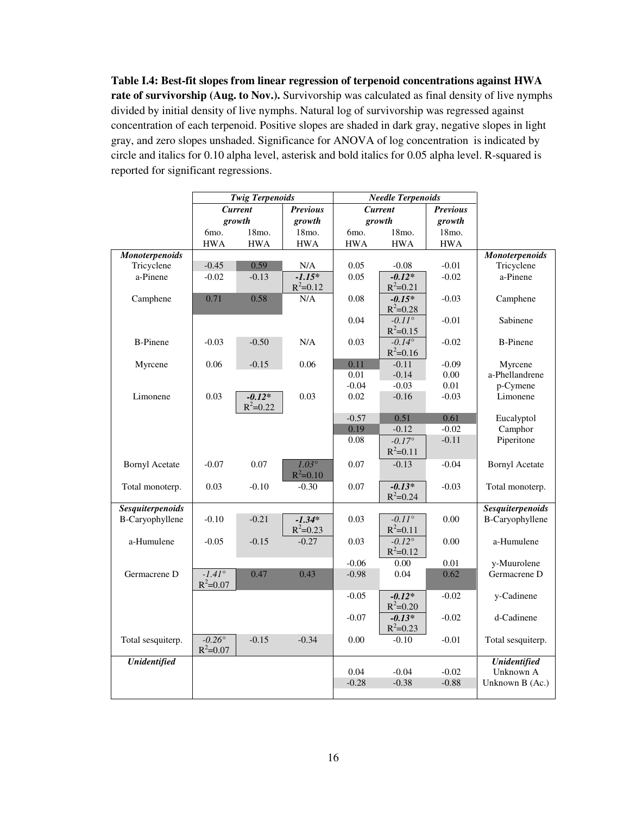**Table I.4: Best-fit slopes from linear regression of terpenoid concentrations against HWA rate of survivorship (Aug. to Nov.).** Survivorship was calculated as final density of live nymphs divided by initial density of live nymphs. Natural log of survivorship was regressed against concentration of each terpenoid. Positive slopes are shaded in dark gray, negative slopes in light gray, and zero slopes unshaded. Significance for ANOVA of log concentration is indicated by circle and italics for 0.10 alpha level, asterisk and bold italics for 0.05 alpha level. R-squared is reported for significant regressions.

|                        |                   | <b>Twig Terpenoids</b> |                 | <b>Needle Terpenoids</b> |                 |                 |                         |
|------------------------|-------------------|------------------------|-----------------|--------------------------|-----------------|-----------------|-------------------------|
|                        |                   | <b>Current</b>         | <b>Previous</b> |                          | <b>Current</b>  | <b>Previous</b> |                         |
|                        |                   | growth                 | growth          |                          | growth          | growth          |                         |
|                        | 6 <sub>mo</sub> . | 18mo.                  | 18mo.           | 6mo.                     | 18mo.           | 18mo.           |                         |
|                        | <b>HWA</b>        | <b>HWA</b>             | <b>HWA</b>      | <b>HWA</b>               | <b>HWA</b>      | <b>HWA</b>      |                         |
| <b>Monoterpenoids</b>  |                   |                        |                 |                          |                 |                 | <b>Monoterpenoids</b>   |
| Tricyclene             | $-0.45$           | 0.59                   | N/A             | 0.05                     | $-0.08$         | $-0.01$         | Tricyclene              |
| a-Pinene               | $-0.02$           | $-0.13$                | $-1.15*$        | 0.05                     | $-0.12*$        | $-0.02$         | a-Pinene                |
|                        |                   |                        | $R^2 = 0.12$    |                          | $R^2 = 0.21$    |                 |                         |
| Camphene               | 0.71              | 0.58                   | N/A             | 0.08                     | $-0.15*$        | $-0.03$         | Camphene                |
|                        |                   |                        |                 |                          | $R^2 = 0.28$    |                 |                         |
|                        |                   |                        |                 | 0.04                     | $-0.11^{\circ}$ | $-0.01$         | Sabinene                |
|                        |                   |                        |                 |                          | $R^2 = 0.15$    |                 |                         |
| <b>B-Pinene</b>        | $-0.03$           | $-0.50$                | N/A             | 0.03                     | $-0.14^{\circ}$ | $-0.02$         | <b>B-Pinene</b>         |
|                        |                   |                        |                 |                          | $R^2 = 0.16$    |                 |                         |
| Myrcene                | 0.06              | $-0.15$                | 0.06            | 0.11                     | $-0.11$         | $-0.09$         | Myrcene                 |
|                        |                   |                        |                 | 0.01                     | $-0.14$         | 0.00            | a-Phellandrene          |
|                        |                   |                        |                 | $-0.04$                  | $-0.03$         | $0.01\,$        | p-Cymene                |
| Limonene               | 0.03              | $-0.12*$               | 0.03            | 0.02                     | $-0.16$         | $-0.03$         | Limonene                |
|                        |                   | $R^2 = 0.22$           |                 |                          |                 |                 |                         |
|                        |                   |                        |                 | $-0.57$                  | 0.51            | 0.61            | Eucalyptol              |
|                        |                   |                        |                 | 0.19                     | $-0.12$         | $-0.02$         | Camphor                 |
|                        |                   |                        |                 | 0.08                     | $-0.17^{\circ}$ | $-0.11$         | Piperitone              |
|                        |                   |                        |                 |                          | $R^2 = 0.11$    |                 |                         |
| <b>Bornyl Acetate</b>  | $-0.07$           | $0.07\,$               | $1.03^\circ$    | 0.07                     | $-0.13$         | $-0.04$         | <b>Bornyl Acetate</b>   |
|                        |                   |                        | $R^2 = 0.10$    |                          |                 |                 |                         |
| Total monoterp.        | 0.03              | $-0.10$                | $-0.30$         | 0.07                     | $-0.13*$        | $-0.03$         | Total monoterp.         |
|                        |                   |                        |                 |                          | $R^2 = 0.24$    |                 |                         |
| Sesquiterpenoids       |                   |                        |                 |                          |                 |                 | <b>Sesquiterpenoids</b> |
| <b>B-Caryophyllene</b> | $-0.10$           | $-0.21$                | $-1.34*$        | 0.03                     | $-0.11^{\circ}$ | 0.00            | <b>B-Caryophyllene</b>  |
|                        |                   |                        | $R^2 = 0.23$    |                          | $R^2 = 0.11$    |                 |                         |
| a-Humulene             | $-0.05$           | $-0.15$                | $-0.27$         | 0.03                     | $-0.12^{\circ}$ | 0.00            | a-Humulene              |
|                        |                   |                        |                 |                          | $R^2 = 0.12$    |                 |                         |
|                        |                   |                        |                 | $-0.06$                  | 0.00            | 0.01            | y-Muurolene             |
| Germacrene D           | $-1.41^{\circ}$   | 0.47                   | 0.43            | $-0.98$                  | 0.04            | 0.62            | Germacrene D            |
|                        | $R^2 = 0.07$      |                        |                 |                          |                 |                 |                         |
|                        |                   |                        |                 | $-0.05$                  | $-0.12*$        | $-0.02$         | y-Cadinene              |
|                        |                   |                        |                 |                          | $R^2 = 0.20$    |                 |                         |
|                        |                   |                        |                 | $-0.07$                  | $-0.13*$        | $-0.02$         | d-Cadinene              |
|                        |                   |                        |                 |                          | $R^2 = 0.23$    |                 |                         |
| Total sesquiterp.      | $-0.26^{\circ}$   | $-0.15$                | $-0.34$         | 0.00                     | $-0.10$         | $-0.01$         | Total sesquiterp.       |
|                        | $R^2 = 0.07$      |                        |                 |                          |                 |                 |                         |
| Unidentified           |                   |                        |                 |                          |                 |                 | <b>Unidentified</b>     |
|                        |                   |                        |                 | 0.04                     | $-0.04$         | $-0.02$         | Unknown A               |
|                        |                   |                        |                 | $-0.28$                  | $-0.38$         | $-0.88$         | Unknown B (Ac.)         |
|                        |                   |                        |                 |                          |                 |                 |                         |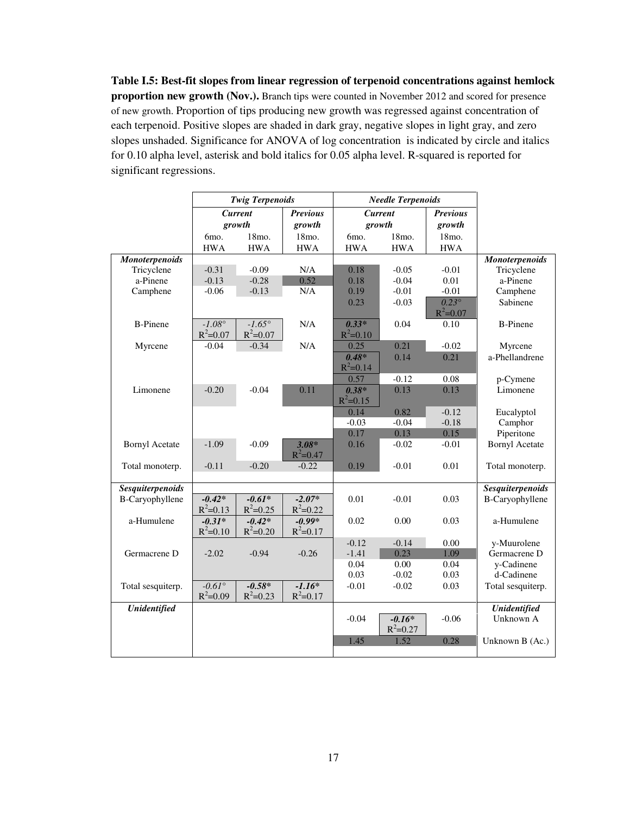**Table I.5: Best-fit slopes from linear regression of terpenoid concentrations against hemlock proportion new growth (Nov.).** Branch tips were counted in November 2012 and scored for presence of new growth. Proportion of tips producing new growth was regressed against concentration of each terpenoid. Positive slopes are shaded in dark gray, negative slopes in light gray, and zero slopes unshaded. Significance for ANOVA of log concentration is indicated by circle and italics for 0.10 alpha level, asterisk and bold italics for 0.05 alpha level. R-squared is reported for significant regressions.

|                         |                                 | <b>Twig Terpenoids</b>   |                 | <b>Needle Terpenoids</b> |                |                              |                         |
|-------------------------|---------------------------------|--------------------------|-----------------|--------------------------|----------------|------------------------------|-------------------------|
|                         |                                 | <b>Current</b>           | <b>Previous</b> |                          | <b>Current</b> | <b>Previous</b>              |                         |
|                         |                                 | growth                   | growth          |                          | growth         | growth                       |                         |
|                         | 6mo.                            | 18mo.                    | 18mo.           | 6mo.                     | 18mo.          | 18mo.                        |                         |
|                         | <b>HWA</b>                      | <b>HWA</b>               | <b>HWA</b>      | <b>HWA</b>               | <b>HWA</b>     | <b>HWA</b>                   |                         |
| <b>Monoterpenoids</b>   |                                 |                          |                 |                          |                |                              | <b>Monoterpenoids</b>   |
| Tricyclene              | $-0.31$                         | $-0.09$                  | N/A             | 0.18                     | $-0.05$        | $-0.01$                      | Tricyclene              |
| a-Pinene                | $-0.13$                         | $-0.28$                  | 0.52            | 0.18                     | $-0.04$        | 0.01                         | a-Pinene                |
| Camphene                | $-0.06$                         | $-0.13$                  | N/A             | 0.19                     | $-0.01$        | $-0.01$                      | Camphene                |
|                         |                                 |                          |                 | 0.23                     | $-0.03$        | $0.23^\circ$<br>$R^2 = 0.07$ | Sabinene                |
| <b>B-Pinene</b>         | $-1.08^{\circ}$                 | $-1.65^{\circ}$          | N/A             | $0.33*$                  | 0.04           | 0.10                         | <b>B-Pinene</b>         |
|                         | $R^2 = 0.07$                    | $R^2 = 0.07$             |                 | $R^2 = 0.10$             |                |                              |                         |
| Myrcene                 | $-0.04$                         | $-0.34$                  | N/A             | 0.25                     | 0.21           | $-0.02$                      | Myrcene                 |
|                         |                                 |                          |                 | $0.48*$                  | 0.14           | 0.21                         | a-Phellandrene          |
|                         |                                 |                          |                 | $R^2 = 0.14$             |                |                              |                         |
|                         |                                 |                          |                 | 0.57                     | $-0.12$        | 0.08                         | p-Cymene                |
| Limonene                | $-0.20$                         | $-0.04$                  | 0.11            | $0.38*$                  | 0.13           | 0.13                         | Limonene                |
|                         |                                 |                          |                 | $R^2 = 0.15$             |                |                              |                         |
|                         |                                 |                          |                 | 0.14                     | 0.82           | $-0.12$                      | Eucalyptol              |
|                         |                                 |                          |                 | $-0.03$                  | $-0.04$        | $-0.18$                      | Camphor                 |
|                         |                                 |                          |                 | 0.17                     | 0.13           | 0.15                         | Piperitone              |
| <b>Bornyl Acetate</b>   | $-1.09$                         | $-0.09$                  | $3.08*$         | 0.16                     | $-0.02$        | $-0.01$                      | <b>Bornyl Acetate</b>   |
|                         |                                 |                          | $R^2 = 0.47$    |                          |                |                              |                         |
| Total monoterp.         | $-0.11$                         | $-0.20$                  | $-0.22$         | 0.19                     | $-0.01$        | 0.01                         | Total monoterp.         |
|                         |                                 |                          |                 |                          |                |                              |                         |
| <b>Sesquiterpenoids</b> |                                 |                          |                 |                          |                |                              | <b>Sesquiterpenoids</b> |
| B-Caryophyllene         | $-0.42*$                        | $-0.61*$                 | $-2.07*$        | 0.01                     | $-0.01$        | 0.03                         | B-Caryophyllene         |
|                         | $R^2 = 0.13$                    | $R^2 = 0.25$             | $R^2 = 0.22$    |                          |                |                              |                         |
| a-Humulene              | $-0.31*$                        | $-0.42*$                 | $-0.99*$        | 0.02                     | 0.00           | 0.03                         | a-Humulene              |
|                         | $R^2 = 0.10$                    | $R^2 = 0.20$             | $R^2 = 0.17$    |                          |                |                              |                         |
|                         |                                 |                          |                 | $-0.12$                  | $-0.14$        | 0.00                         | y-Muurolene             |
| Germacrene D            | $-2.02$                         | $-0.94$                  | $-0.26$         | $-1.41$                  | 0.23           | 1.09                         | Germacrene D            |
|                         |                                 |                          |                 | 0.04                     | 0.00           | 0.04                         | y-Cadinene              |
|                         |                                 |                          | $-1.16*$        | 0.03                     | $-0.02$        | 0.03                         | d-Cadinene              |
| Total sesquiterp.       | $-0.61^{\circ}$<br>$R^2 = 0.09$ | $-0.58*$<br>$R^2 = 0.23$ | $R^2 = 0.17$    | $-0.01$                  | $-0.02$        | 0.03                         | Total sesquiterp.       |
| <b>Unidentified</b>     |                                 |                          |                 |                          |                |                              | <b>Unidentified</b>     |
|                         |                                 |                          |                 | $-0.04$                  | $-0.16*$       | $-0.06$                      | Unknown A               |
|                         |                                 |                          |                 |                          | $R^2 = 0.27$   |                              |                         |
|                         |                                 |                          |                 | 1.45                     | 1.52           | 0.28                         | Unknown B (Ac.)         |
|                         |                                 |                          |                 |                          |                |                              |                         |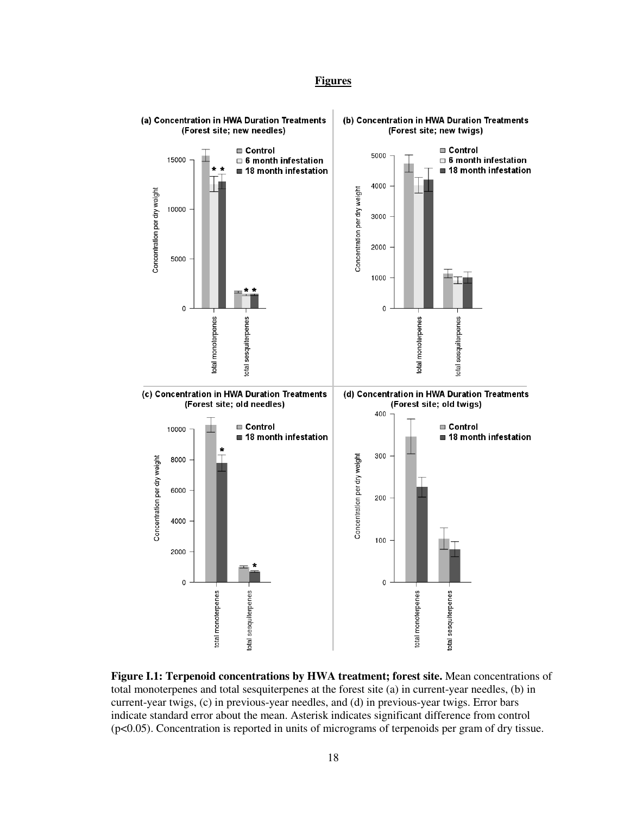## **Figures**



**Figure I.1: Terpenoid concentrations by HWA treatment; forest site.** Mean concentrations of total monoterpenes and total sesquiterpenes at the forest site (a) in current-year needles, (b) in current-year twigs, (c) in previous-year needles, and (d) in previous-year twigs. Error bars indicate standard error about the mean. Asterisk indicates significant difference from control (p<0.05). Concentration is reported in units of micrograms of terpenoids per gram of dry tissue.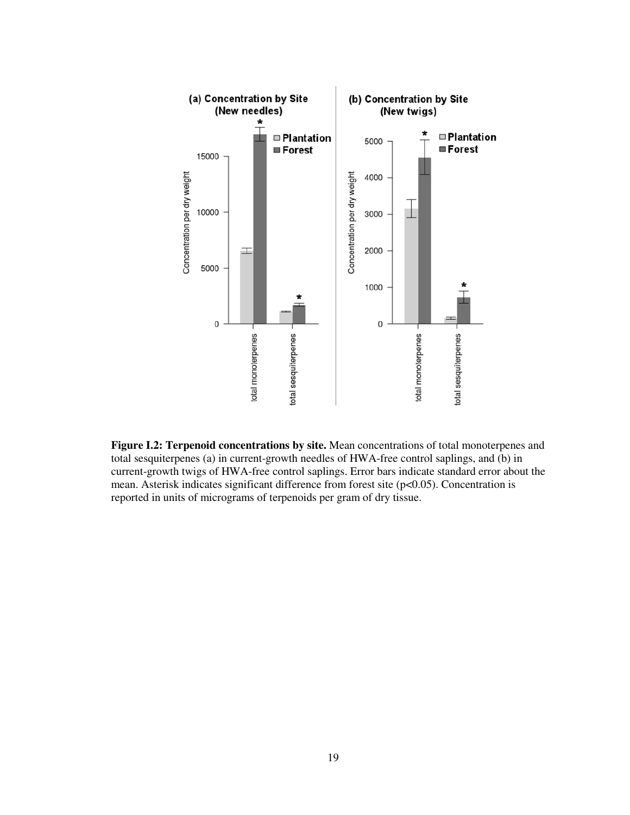

**Figure I.2: Terpenoid concentrations by site.** Mean concentrations of total monoterpenes and total sesquiterpenes (a) in current-growth needles of HWA-free control saplings, and (b) in current-growth twigs of HWA-free control saplings. Error bars indicate standard error about the mean. Asterisk indicates significant difference from forest site (p<0.05). Concentration is reported in units of micrograms of terpenoids per gram of dry tissue.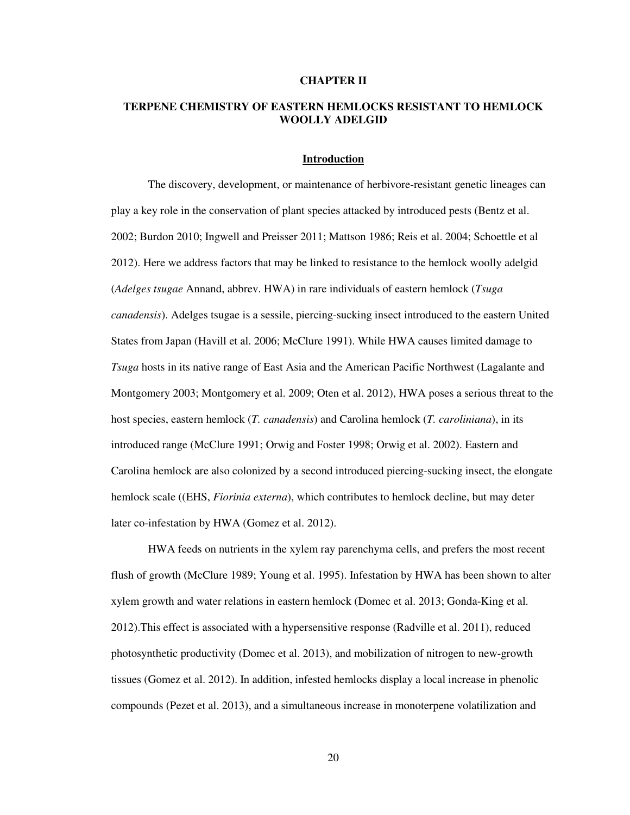#### **CHAPTER II**

## **TERPENE CHEMISTRY OF EASTERN HEMLOCKS RESISTANT TO HEMLOCK WOOLLY ADELGID**

## **Introduction**

 The discovery, development, or maintenance of herbivore-resistant genetic lineages can play a key role in the conservation of plant species attacked by introduced pests (Bentz et al. 2002; Burdon 2010; Ingwell and Preisser 2011; Mattson 1986; Reis et al. 2004; Schoettle et al 2012). Here we address factors that may be linked to resistance to the hemlock woolly adelgid (*Adelges tsugae* Annand, abbrev. HWA) in rare individuals of eastern hemlock (*Tsuga canadensis*). Adelges tsugae is a sessile, piercing-sucking insect introduced to the eastern United States from Japan (Havill et al. 2006; McClure 1991). While HWA causes limited damage to *Tsuga* hosts in its native range of East Asia and the American Pacific Northwest (Lagalante and Montgomery 2003; Montgomery et al. 2009; Oten et al. 2012), HWA poses a serious threat to the host species, eastern hemlock (*T. canadensis*) and Carolina hemlock (*T. caroliniana*), in its introduced range (McClure 1991; Orwig and Foster 1998; Orwig et al. 2002). Eastern and Carolina hemlock are also colonized by a second introduced piercing-sucking insect, the elongate hemlock scale ((EHS, *Fiorinia externa*), which contributes to hemlock decline, but may deter later co-infestation by HWA (Gomez et al. 2012).

HWA feeds on nutrients in the xylem ray parenchyma cells, and prefers the most recent flush of growth (McClure 1989; Young et al. 1995). Infestation by HWA has been shown to alter xylem growth and water relations in eastern hemlock (Domec et al. 2013; Gonda-King et al. 2012).This effect is associated with a hypersensitive response (Radville et al. 2011), reduced photosynthetic productivity (Domec et al. 2013), and mobilization of nitrogen to new-growth tissues (Gomez et al. 2012). In addition, infested hemlocks display a local increase in phenolic compounds (Pezet et al. 2013), and a simultaneous increase in monoterpene volatilization and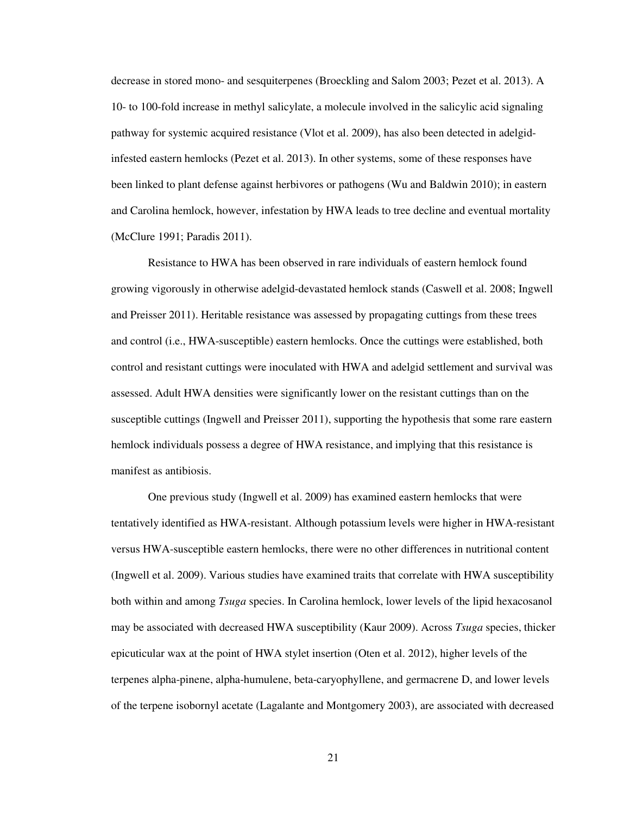decrease in stored mono- and sesquiterpenes (Broeckling and Salom 2003; Pezet et al. 2013). A 10- to 100-fold increase in methyl salicylate, a molecule involved in the salicylic acid signaling pathway for systemic acquired resistance (Vlot et al. 2009), has also been detected in adelgidinfested eastern hemlocks (Pezet et al. 2013). In other systems, some of these responses have been linked to plant defense against herbivores or pathogens (Wu and Baldwin 2010); in eastern and Carolina hemlock, however, infestation by HWA leads to tree decline and eventual mortality (McClure 1991; Paradis 2011).

Resistance to HWA has been observed in rare individuals of eastern hemlock found growing vigorously in otherwise adelgid-devastated hemlock stands (Caswell et al. 2008; Ingwell and Preisser 2011). Heritable resistance was assessed by propagating cuttings from these trees and control (i.e., HWA-susceptible) eastern hemlocks. Once the cuttings were established, both control and resistant cuttings were inoculated with HWA and adelgid settlement and survival was assessed. Adult HWA densities were significantly lower on the resistant cuttings than on the susceptible cuttings (Ingwell and Preisser 2011), supporting the hypothesis that some rare eastern hemlock individuals possess a degree of HWA resistance, and implying that this resistance is manifest as antibiosis.

One previous study (Ingwell et al. 2009) has examined eastern hemlocks that were tentatively identified as HWA-resistant. Although potassium levels were higher in HWA-resistant versus HWA-susceptible eastern hemlocks, there were no other differences in nutritional content (Ingwell et al. 2009). Various studies have examined traits that correlate with HWA susceptibility both within and among *Tsuga* species. In Carolina hemlock, lower levels of the lipid hexacosanol may be associated with decreased HWA susceptibility (Kaur 2009). Across *Tsuga* species, thicker epicuticular wax at the point of HWA stylet insertion (Oten et al. 2012), higher levels of the terpenes alpha-pinene, alpha-humulene, beta-caryophyllene, and germacrene D, and lower levels of the terpene isobornyl acetate (Lagalante and Montgomery 2003), are associated with decreased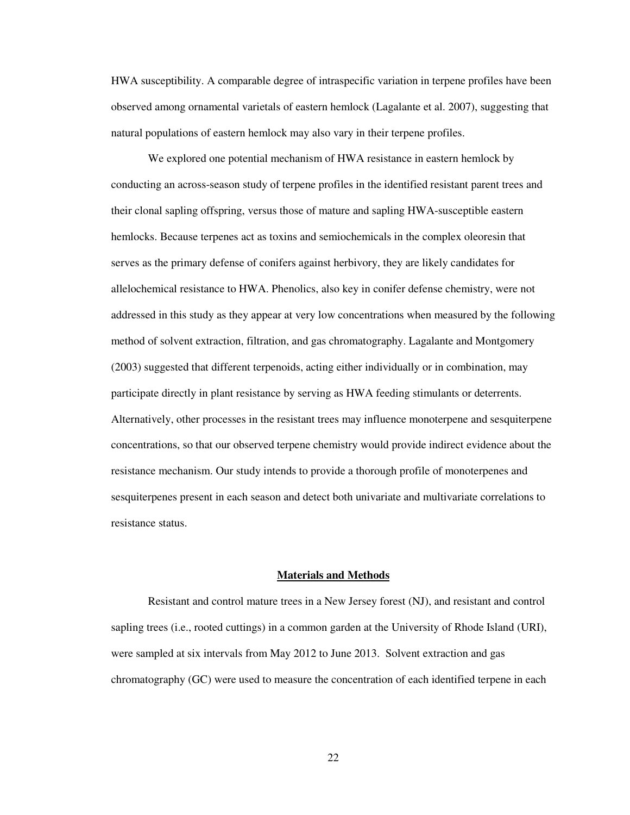HWA susceptibility. A comparable degree of intraspecific variation in terpene profiles have been observed among ornamental varietals of eastern hemlock (Lagalante et al. 2007), suggesting that natural populations of eastern hemlock may also vary in their terpene profiles.

We explored one potential mechanism of HWA resistance in eastern hemlock by conducting an across-season study of terpene profiles in the identified resistant parent trees and their clonal sapling offspring, versus those of mature and sapling HWA-susceptible eastern hemlocks. Because terpenes act as toxins and semiochemicals in the complex oleoresin that serves as the primary defense of conifers against herbivory, they are likely candidates for allelochemical resistance to HWA. Phenolics, also key in conifer defense chemistry, were not addressed in this study as they appear at very low concentrations when measured by the following method of solvent extraction, filtration, and gas chromatography. Lagalante and Montgomery (2003) suggested that different terpenoids, acting either individually or in combination, may participate directly in plant resistance by serving as HWA feeding stimulants or deterrents. Alternatively, other processes in the resistant trees may influence monoterpene and sesquiterpene concentrations, so that our observed terpene chemistry would provide indirect evidence about the resistance mechanism. Our study intends to provide a thorough profile of monoterpenes and sesquiterpenes present in each season and detect both univariate and multivariate correlations to resistance status.

#### **Materials and Methods**

Resistant and control mature trees in a New Jersey forest (NJ), and resistant and control sapling trees (i.e., rooted cuttings) in a common garden at the University of Rhode Island (URI), were sampled at six intervals from May 2012 to June 2013. Solvent extraction and gas chromatography (GC) were used to measure the concentration of each identified terpene in each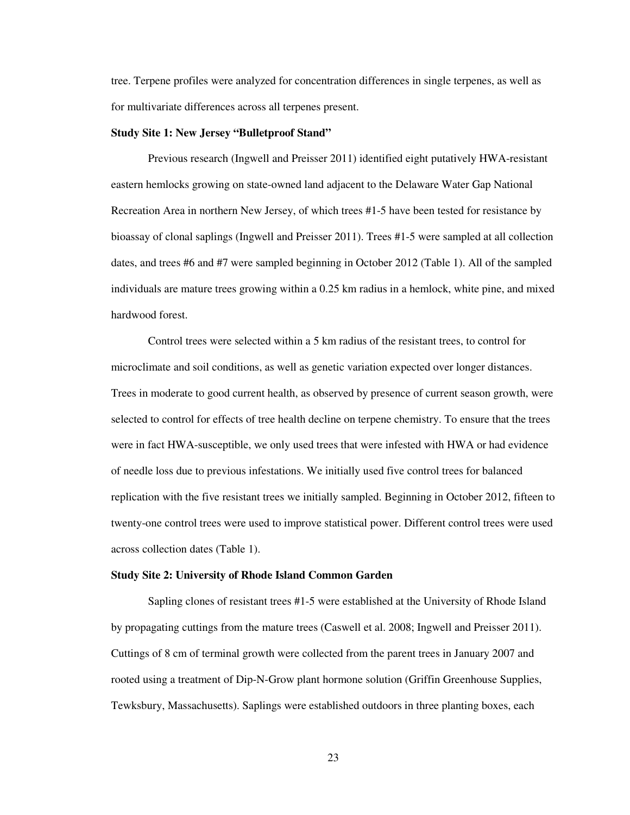tree. Terpene profiles were analyzed for concentration differences in single terpenes, as well as for multivariate differences across all terpenes present.

### **Study Site 1: New Jersey "Bulletproof Stand"**

Previous research (Ingwell and Preisser 2011) identified eight putatively HWA-resistant eastern hemlocks growing on state-owned land adjacent to the Delaware Water Gap National Recreation Area in northern New Jersey, of which trees #1-5 have been tested for resistance by bioassay of clonal saplings (Ingwell and Preisser 2011). Trees #1-5 were sampled at all collection dates, and trees #6 and #7 were sampled beginning in October 2012 (Table 1). All of the sampled individuals are mature trees growing within a 0.25 km radius in a hemlock, white pine, and mixed hardwood forest.

Control trees were selected within a 5 km radius of the resistant trees, to control for microclimate and soil conditions, as well as genetic variation expected over longer distances. Trees in moderate to good current health, as observed by presence of current season growth, were selected to control for effects of tree health decline on terpene chemistry. To ensure that the trees were in fact HWA-susceptible, we only used trees that were infested with HWA or had evidence of needle loss due to previous infestations. We initially used five control trees for balanced replication with the five resistant trees we initially sampled. Beginning in October 2012, fifteen to twenty-one control trees were used to improve statistical power. Different control trees were used across collection dates (Table 1).

#### **Study Site 2: University of Rhode Island Common Garden**

Sapling clones of resistant trees #1-5 were established at the University of Rhode Island by propagating cuttings from the mature trees (Caswell et al. 2008; Ingwell and Preisser 2011). Cuttings of 8 cm of terminal growth were collected from the parent trees in January 2007 and rooted using a treatment of Dip-N-Grow plant hormone solution (Griffin Greenhouse Supplies, Tewksbury, Massachusetts). Saplings were established outdoors in three planting boxes, each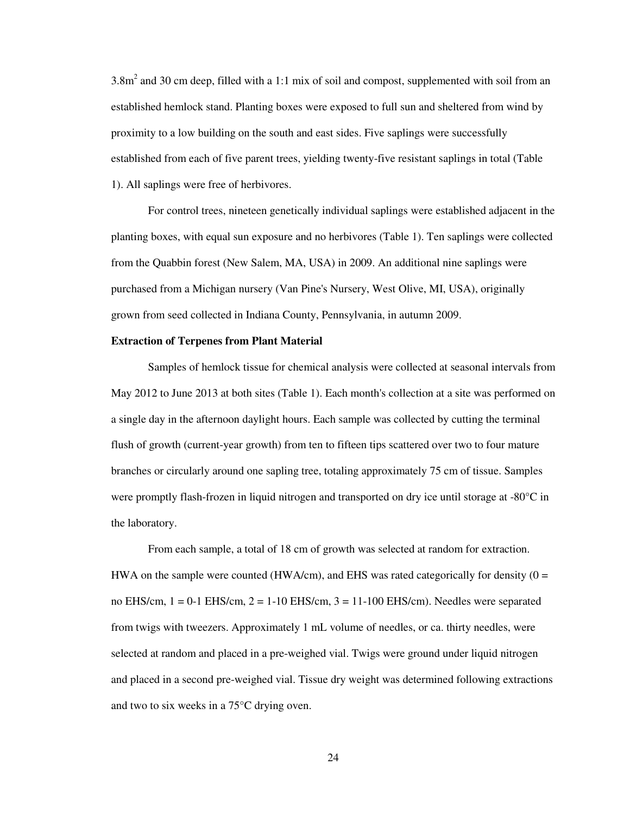$3.8m<sup>2</sup>$  and 30 cm deep, filled with a 1:1 mix of soil and compost, supplemented with soil from an established hemlock stand. Planting boxes were exposed to full sun and sheltered from wind by proximity to a low building on the south and east sides. Five saplings were successfully established from each of five parent trees, yielding twenty-five resistant saplings in total (Table 1). All saplings were free of herbivores.

For control trees, nineteen genetically individual saplings were established adjacent in the planting boxes, with equal sun exposure and no herbivores (Table 1). Ten saplings were collected from the Quabbin forest (New Salem, MA, USA) in 2009. An additional nine saplings were purchased from a Michigan nursery (Van Pine's Nursery, West Olive, MI, USA), originally grown from seed collected in Indiana County, Pennsylvania, in autumn 2009.

### **Extraction of Terpenes from Plant Material**

Samples of hemlock tissue for chemical analysis were collected at seasonal intervals from May 2012 to June 2013 at both sites (Table 1). Each month's collection at a site was performed on a single day in the afternoon daylight hours. Each sample was collected by cutting the terminal flush of growth (current-year growth) from ten to fifteen tips scattered over two to four mature branches or circularly around one sapling tree, totaling approximately 75 cm of tissue. Samples were promptly flash-frozen in liquid nitrogen and transported on dry ice until storage at -80°C in the laboratory.

From each sample, a total of 18 cm of growth was selected at random for extraction. HWA on the sample were counted (HWA/cm), and EHS was rated categorically for density  $(0 =$ no EHS/cm,  $1 = 0.1$  EHS/cm,  $2 = 1.10$  EHS/cm,  $3 = 11.100$  EHS/cm). Needles were separated from twigs with tweezers. Approximately 1 mL volume of needles, or ca. thirty needles, were selected at random and placed in a pre-weighed vial. Twigs were ground under liquid nitrogen and placed in a second pre-weighed vial. Tissue dry weight was determined following extractions and two to six weeks in a 75°C drying oven.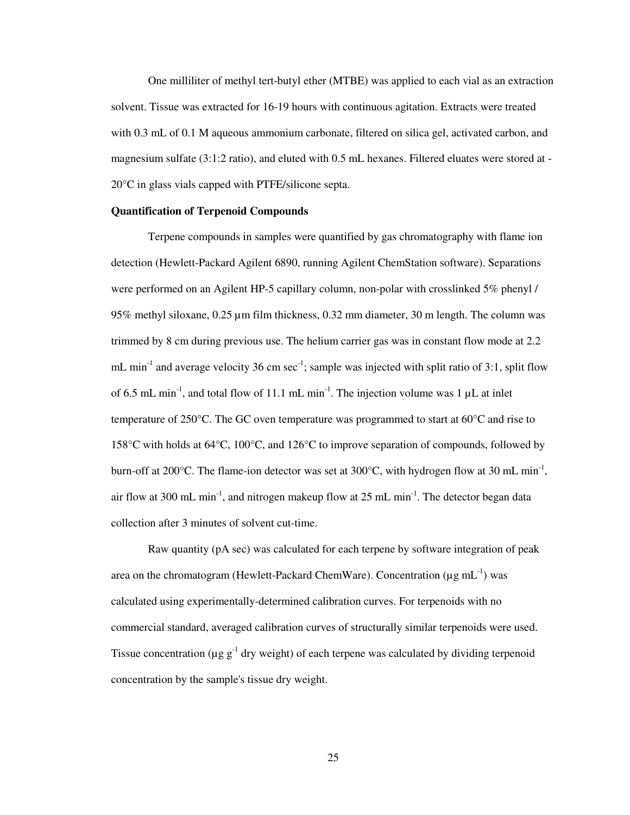One milliliter of methyl tert-butyl ether (MTBE) was applied to each vial as an extraction solvent. Tissue was extracted for 16-19 hours with continuous agitation. Extracts were treated with 0.3 mL of 0.1 M aqueous ammonium carbonate, filtered on silica gel, activated carbon, and magnesium sulfate (3:1:2 ratio), and eluted with 0.5 mL hexanes. Filtered eluates were stored at - 20°C in glass vials capped with PTFE/silicone septa.

## **Quantification of Terpenoid Compounds**

Terpene compounds in samples were quantified by gas chromatography with flame ion detection (Hewlett-Packard Agilent 6890, running Agilent ChemStation software). Separations were performed on an Agilent HP-5 capillary column, non-polar with crosslinked 5% phenyl / 95% methyl siloxane, 0.25 µm film thickness, 0.32 mm diameter, 30 m length. The column was trimmed by 8 cm during previous use. The helium carrier gas was in constant flow mode at 2.2 mL min<sup>-1</sup> and average velocity 36 cm sec<sup>-1</sup>; sample was injected with split ratio of 3:1, split flow of 6.5 mL min<sup>-1</sup>, and total flow of 11.1 mL min<sup>-1</sup>. The injection volume was 1  $\mu$ L at inlet temperature of 250°C. The GC oven temperature was programmed to start at 60°C and rise to 158°C with holds at 64°C, 100°C, and 126°C to improve separation of compounds, followed by burn-off at 200 $^{\circ}$ C. The flame-ion detector was set at 300 $^{\circ}$ C, with hydrogen flow at 30 mL min<sup>-1</sup>, air flow at 300 mL min<sup>-1</sup>, and nitrogen makeup flow at 25 mL min<sup>-1</sup>. The detector began data collection after 3 minutes of solvent cut-time.

Raw quantity (pA sec) was calculated for each terpene by software integration of peak area on the chromatogram (Hewlett-Packard ChemWare). Concentration ( $\mu$ g mL<sup>-1</sup>) was calculated using experimentally-determined calibration curves. For terpenoids with no commercial standard, averaged calibration curves of structurally similar terpenoids were used. Tissue concentration ( $\mu$ g g<sup>-1</sup> dry weight) of each terpene was calculated by dividing terpenoid concentration by the sample's tissue dry weight.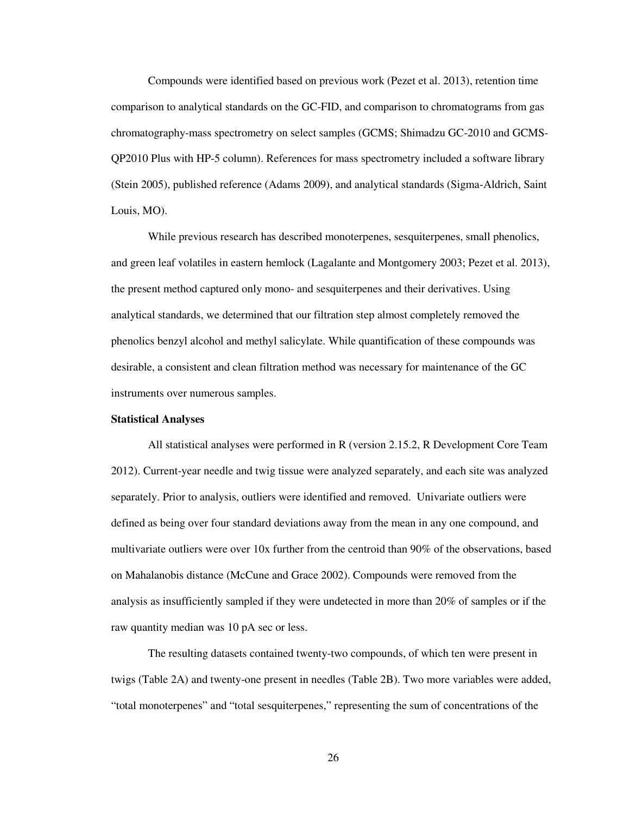Compounds were identified based on previous work (Pezet et al. 2013), retention time comparison to analytical standards on the GC-FID, and comparison to chromatograms from gas chromatography-mass spectrometry on select samples (GCMS; Shimadzu GC-2010 and GCMS-QP2010 Plus with HP-5 column). References for mass spectrometry included a software library (Stein 2005), published reference (Adams 2009), and analytical standards (Sigma-Aldrich, Saint Louis, MO).

While previous research has described monoterpenes, sesquiterpenes, small phenolics, and green leaf volatiles in eastern hemlock (Lagalante and Montgomery 2003; Pezet et al. 2013), the present method captured only mono- and sesquiterpenes and their derivatives. Using analytical standards, we determined that our filtration step almost completely removed the phenolics benzyl alcohol and methyl salicylate. While quantification of these compounds was desirable, a consistent and clean filtration method was necessary for maintenance of the GC instruments over numerous samples.

#### **Statistical Analyses**

All statistical analyses were performed in R (version 2.15.2, R Development Core Team 2012). Current-year needle and twig tissue were analyzed separately, and each site was analyzed separately. Prior to analysis, outliers were identified and removed. Univariate outliers were defined as being over four standard deviations away from the mean in any one compound, and multivariate outliers were over 10x further from the centroid than 90% of the observations, based on Mahalanobis distance (McCune and Grace 2002). Compounds were removed from the analysis as insufficiently sampled if they were undetected in more than 20% of samples or if the raw quantity median was 10 pA sec or less.

The resulting datasets contained twenty-two compounds, of which ten were present in twigs (Table 2A) and twenty-one present in needles (Table 2B). Two more variables were added, "total monoterpenes" and "total sesquiterpenes," representing the sum of concentrations of the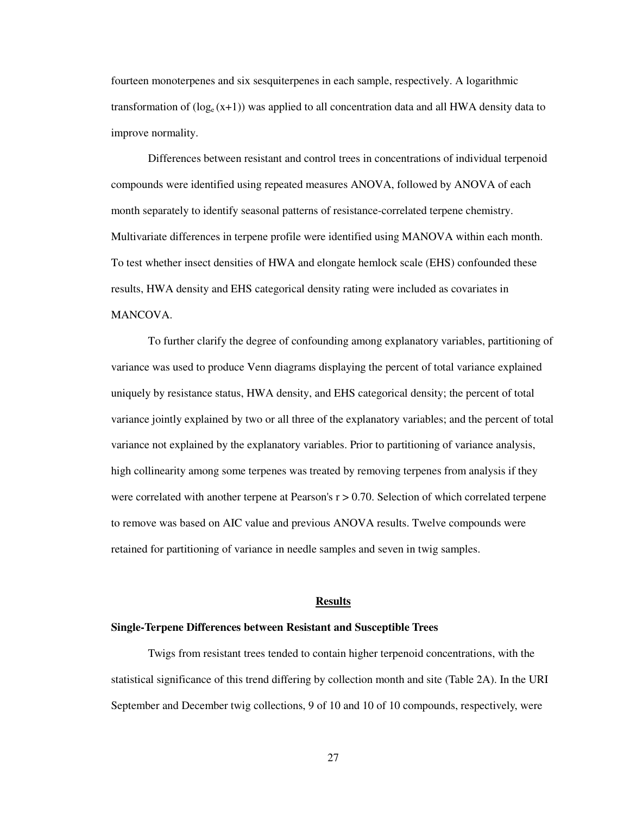fourteen monoterpenes and six sesquiterpenes in each sample, respectively. A logarithmic transformation of  $(log_e(x+1))$  was applied to all concentration data and all HWA density data to improve normality.

Differences between resistant and control trees in concentrations of individual terpenoid compounds were identified using repeated measures ANOVA, followed by ANOVA of each month separately to identify seasonal patterns of resistance-correlated terpene chemistry. Multivariate differences in terpene profile were identified using MANOVA within each month. To test whether insect densities of HWA and elongate hemlock scale (EHS) confounded these results, HWA density and EHS categorical density rating were included as covariates in MANCOVA.

To further clarify the degree of confounding among explanatory variables, partitioning of variance was used to produce Venn diagrams displaying the percent of total variance explained uniquely by resistance status, HWA density, and EHS categorical density; the percent of total variance jointly explained by two or all three of the explanatory variables; and the percent of total variance not explained by the explanatory variables. Prior to partitioning of variance analysis, high collinearity among some terpenes was treated by removing terpenes from analysis if they were correlated with another terpene at Pearson's  $r > 0.70$ . Selection of which correlated terpene to remove was based on AIC value and previous ANOVA results. Twelve compounds were retained for partitioning of variance in needle samples and seven in twig samples.

## **Results**

### **Single-Terpene Differences between Resistant and Susceptible Trees**

Twigs from resistant trees tended to contain higher terpenoid concentrations, with the statistical significance of this trend differing by collection month and site (Table 2A). In the URI September and December twig collections, 9 of 10 and 10 of 10 compounds, respectively, were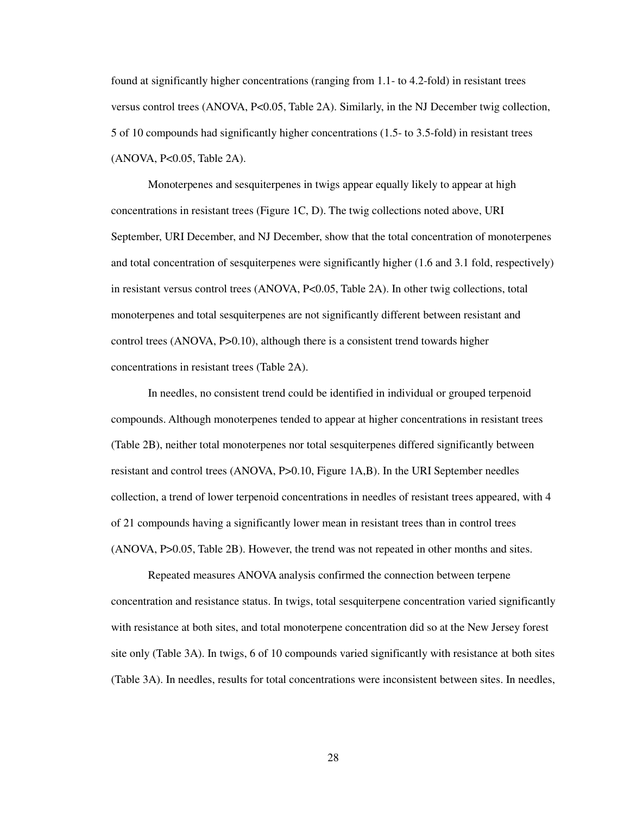found at significantly higher concentrations (ranging from 1.1- to 4.2-fold) in resistant trees versus control trees (ANOVA, P<0.05, Table 2A). Similarly, in the NJ December twig collection, 5 of 10 compounds had significantly higher concentrations (1.5- to 3.5-fold) in resistant trees (ANOVA, P<0.05, Table 2A).

Monoterpenes and sesquiterpenes in twigs appear equally likely to appear at high concentrations in resistant trees (Figure 1C, D). The twig collections noted above, URI September, URI December, and NJ December, show that the total concentration of monoterpenes and total concentration of sesquiterpenes were significantly higher (1.6 and 3.1 fold, respectively) in resistant versus control trees (ANOVA, P<0.05, Table 2A). In other twig collections, total monoterpenes and total sesquiterpenes are not significantly different between resistant and control trees (ANOVA, P>0.10), although there is a consistent trend towards higher concentrations in resistant trees (Table 2A).

In needles, no consistent trend could be identified in individual or grouped terpenoid compounds. Although monoterpenes tended to appear at higher concentrations in resistant trees (Table 2B), neither total monoterpenes nor total sesquiterpenes differed significantly between resistant and control trees (ANOVA, P>0.10, Figure 1A,B). In the URI September needles collection, a trend of lower terpenoid concentrations in needles of resistant trees appeared, with 4 of 21 compounds having a significantly lower mean in resistant trees than in control trees (ANOVA, P>0.05, Table 2B). However, the trend was not repeated in other months and sites.

Repeated measures ANOVA analysis confirmed the connection between terpene concentration and resistance status. In twigs, total sesquiterpene concentration varied significantly with resistance at both sites, and total monoterpene concentration did so at the New Jersey forest site only (Table 3A). In twigs, 6 of 10 compounds varied significantly with resistance at both sites (Table 3A). In needles, results for total concentrations were inconsistent between sites. In needles,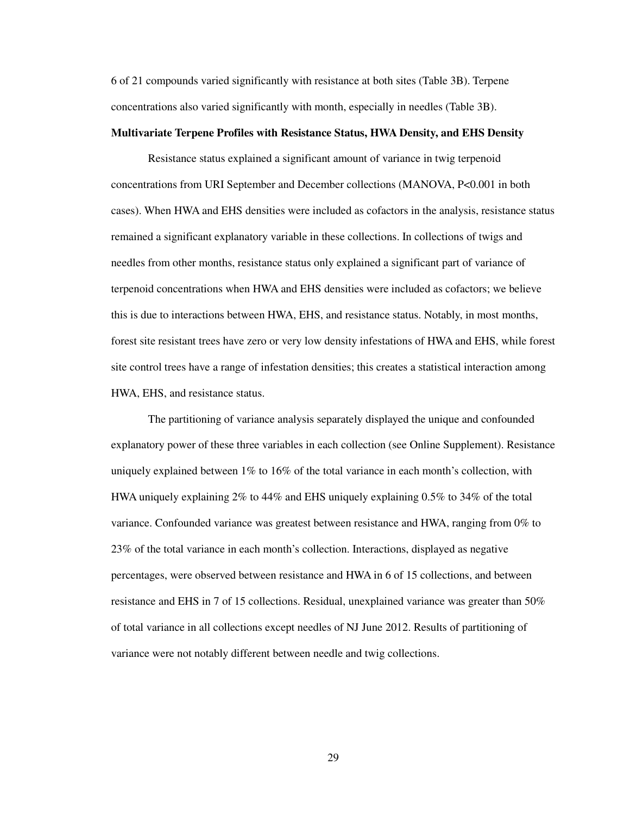6 of 21 compounds varied significantly with resistance at both sites (Table 3B). Terpene concentrations also varied significantly with month, especially in needles (Table 3B).

## **Multivariate Terpene Profiles with Resistance Status, HWA Density, and EHS Density**

Resistance status explained a significant amount of variance in twig terpenoid concentrations from URI September and December collections (MANOVA, P<0.001 in both cases). When HWA and EHS densities were included as cofactors in the analysis, resistance status remained a significant explanatory variable in these collections. In collections of twigs and needles from other months, resistance status only explained a significant part of variance of terpenoid concentrations when HWA and EHS densities were included as cofactors; we believe this is due to interactions between HWA, EHS, and resistance status. Notably, in most months, forest site resistant trees have zero or very low density infestations of HWA and EHS, while forest site control trees have a range of infestation densities; this creates a statistical interaction among HWA, EHS, and resistance status.

The partitioning of variance analysis separately displayed the unique and confounded explanatory power of these three variables in each collection (see Online Supplement). Resistance uniquely explained between 1% to 16% of the total variance in each month's collection, with HWA uniquely explaining 2% to 44% and EHS uniquely explaining 0.5% to 34% of the total variance. Confounded variance was greatest between resistance and HWA, ranging from 0% to 23% of the total variance in each month's collection. Interactions, displayed as negative percentages, were observed between resistance and HWA in 6 of 15 collections, and between resistance and EHS in 7 of 15 collections. Residual, unexplained variance was greater than 50% of total variance in all collections except needles of NJ June 2012. Results of partitioning of variance were not notably different between needle and twig collections.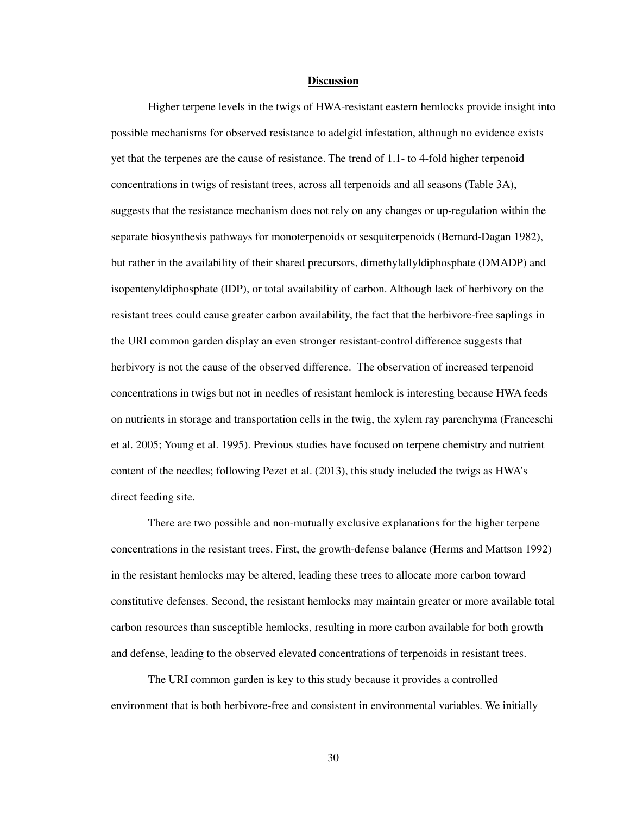#### **Discussion**

Higher terpene levels in the twigs of HWA-resistant eastern hemlocks provide insight into possible mechanisms for observed resistance to adelgid infestation, although no evidence exists yet that the terpenes are the cause of resistance. The trend of 1.1- to 4-fold higher terpenoid concentrations in twigs of resistant trees, across all terpenoids and all seasons (Table 3A), suggests that the resistance mechanism does not rely on any changes or up-regulation within the separate biosynthesis pathways for monoterpenoids or sesquiterpenoids (Bernard-Dagan 1982), but rather in the availability of their shared precursors, dimethylallyldiphosphate (DMADP) and isopentenyldiphosphate (IDP), or total availability of carbon. Although lack of herbivory on the resistant trees could cause greater carbon availability, the fact that the herbivore-free saplings in the URI common garden display an even stronger resistant-control difference suggests that herbivory is not the cause of the observed difference. The observation of increased terpenoid concentrations in twigs but not in needles of resistant hemlock is interesting because HWA feeds on nutrients in storage and transportation cells in the twig, the xylem ray parenchyma (Franceschi et al. 2005; Young et al. 1995). Previous studies have focused on terpene chemistry and nutrient content of the needles; following Pezet et al. (2013), this study included the twigs as HWA's direct feeding site.

There are two possible and non-mutually exclusive explanations for the higher terpene concentrations in the resistant trees. First, the growth-defense balance (Herms and Mattson 1992) in the resistant hemlocks may be altered, leading these trees to allocate more carbon toward constitutive defenses. Second, the resistant hemlocks may maintain greater or more available total carbon resources than susceptible hemlocks, resulting in more carbon available for both growth and defense, leading to the observed elevated concentrations of terpenoids in resistant trees.

The URI common garden is key to this study because it provides a controlled environment that is both herbivore-free and consistent in environmental variables. We initially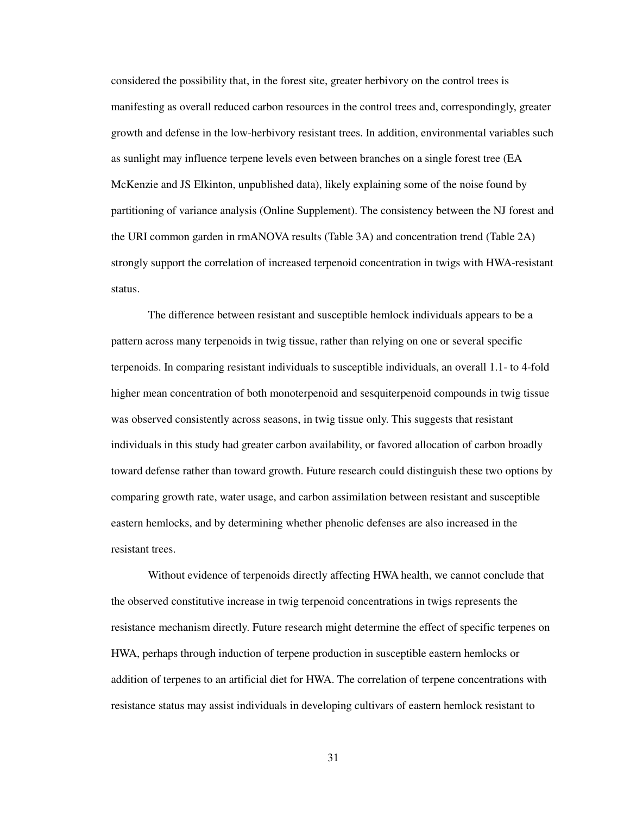considered the possibility that, in the forest site, greater herbivory on the control trees is manifesting as overall reduced carbon resources in the control trees and, correspondingly, greater growth and defense in the low-herbivory resistant trees. In addition, environmental variables such as sunlight may influence terpene levels even between branches on a single forest tree (EA McKenzie and JS Elkinton, unpublished data), likely explaining some of the noise found by partitioning of variance analysis (Online Supplement). The consistency between the NJ forest and the URI common garden in rmANOVA results (Table 3A) and concentration trend (Table 2A) strongly support the correlation of increased terpenoid concentration in twigs with HWA-resistant status.

The difference between resistant and susceptible hemlock individuals appears to be a pattern across many terpenoids in twig tissue, rather than relying on one or several specific terpenoids. In comparing resistant individuals to susceptible individuals, an overall 1.1- to 4-fold higher mean concentration of both monoterpenoid and sesquiterpenoid compounds in twig tissue was observed consistently across seasons, in twig tissue only. This suggests that resistant individuals in this study had greater carbon availability, or favored allocation of carbon broadly toward defense rather than toward growth. Future research could distinguish these two options by comparing growth rate, water usage, and carbon assimilation between resistant and susceptible eastern hemlocks, and by determining whether phenolic defenses are also increased in the resistant trees.

Without evidence of terpenoids directly affecting HWA health, we cannot conclude that the observed constitutive increase in twig terpenoid concentrations in twigs represents the resistance mechanism directly. Future research might determine the effect of specific terpenes on HWA, perhaps through induction of terpene production in susceptible eastern hemlocks or addition of terpenes to an artificial diet for HWA. The correlation of terpene concentrations with resistance status may assist individuals in developing cultivars of eastern hemlock resistant to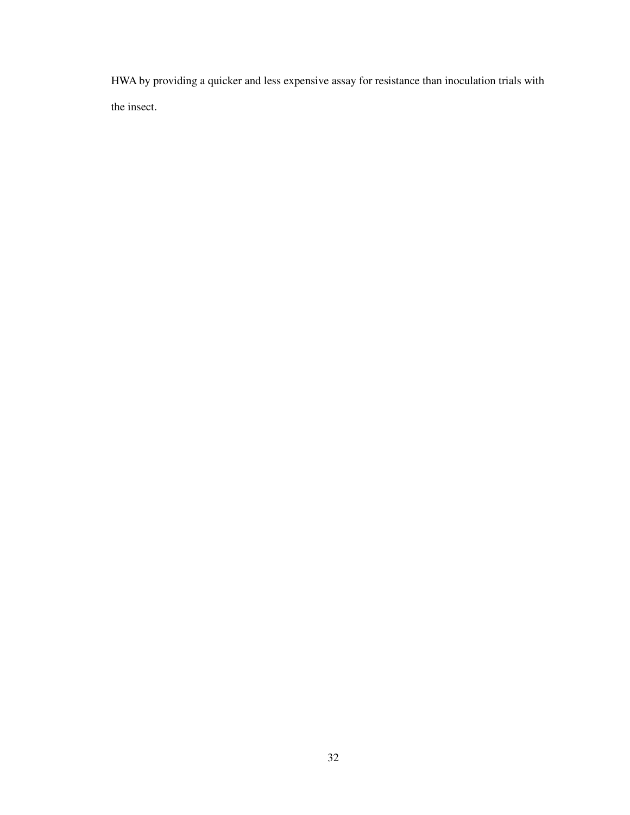HWA by providing a quicker and less expensive assay for resistance than inoculation trials with the insect.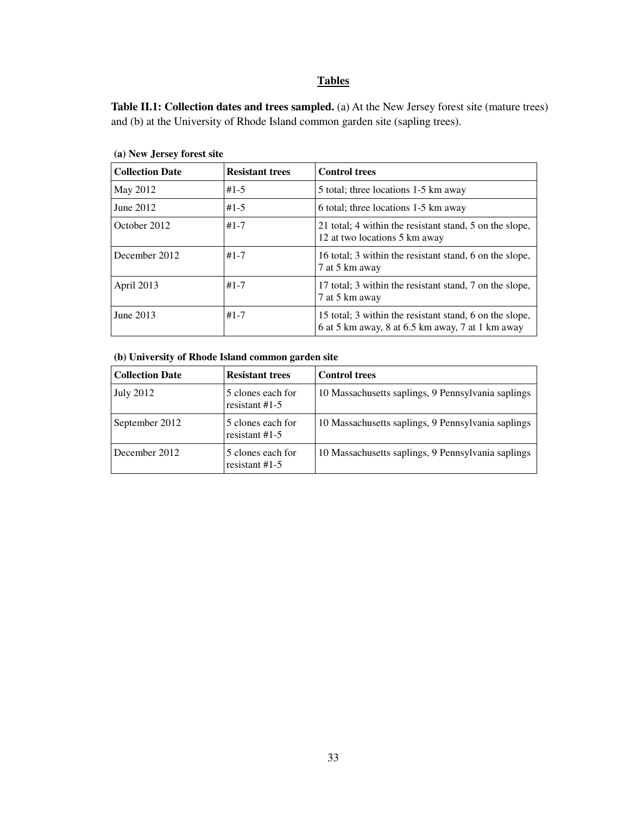# **Tables**

Table II.1: Collection dates and trees sampled. (a) At the New Jersey forest site (mature trees) and (b) at the University of Rhode Island common garden site (sapling trees).

| <b>Collection Date</b> | <b>Resistant trees</b> | <b>Control trees</b>                                                                                        |
|------------------------|------------------------|-------------------------------------------------------------------------------------------------------------|
| May 2012               | $#1 - 5$               | 5 total; three locations 1-5 km away                                                                        |
| June 2012              | $#1 - 5$               | 6 total; three locations 1-5 km away                                                                        |
| October 2012           | $#1 - 7$               | 21 total; 4 within the resistant stand, 5 on the slope,<br>12 at two locations 5 km away                    |
| December 2012          | $#1 - 7$               | 16 total; 3 within the resistant stand, 6 on the slope,<br>7 at 5 km away                                   |
| April 2013             | $#1 - 7$               | 17 total; 3 within the resistant stand, 7 on the slope,<br>7 at 5 km away                                   |
| June 2013              | $#1 - 7$               | 15 total; 3 within the resistant stand, 6 on the slope,<br>6 at 5 km away, 8 at 6.5 km away, 7 at 1 km away |

**(a) New Jersey forest site** 

## **(b) University of Rhode Island common garden site**

| <b>Collection Date</b> | <b>Resistant trees</b>                | <b>Control trees</b>                               |
|------------------------|---------------------------------------|----------------------------------------------------|
| <b>July 2012</b>       | 5 clones each for<br>resistant $#1-5$ | 10 Massachusetts saplings, 9 Pennsylvania saplings |
| September 2012         | 5 clones each for<br>resistant $#1-5$ | 10 Massachusetts saplings, 9 Pennsylvania saplings |
| December 2012          | 5 clones each for<br>resistant $#1-5$ | 10 Massachusetts saplings, 9 Pennsylvania saplings |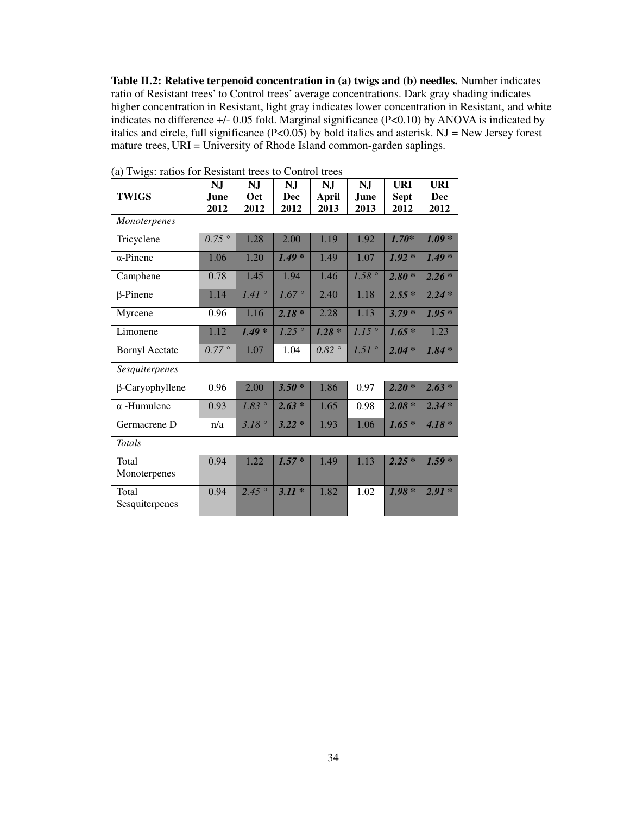**Table II.2: Relative terpenoid concentration in (a) twigs and (b) needles.** Number indicates ratio of Resistant trees' to Control trees' average concentrations. Dark gray shading indicates higher concentration in Resistant, light gray indicates lower concentration in Resistant, and white indicates no difference +/- 0.05 fold. Marginal significance (P<0.10) by ANOVA is indicated by italics and circle, full significance  $(P<0.05)$  by bold italics and asterisk. NJ = New Jersey forest mature trees, URI = University of Rhode Island common-garden saplings.

| <b>TWIGS</b>            | NJ<br>June.    | <b>NJ</b><br>Oct | N <sub>J</sub><br>Dec | N <sub>J</sub><br>April | N <sub>J</sub><br>June | <b>URI</b><br><b>Sept</b> | URI<br>Dec |  |  |  |  |
|-------------------------|----------------|------------------|-----------------------|-------------------------|------------------------|---------------------------|------------|--|--|--|--|
|                         | 2012           | 2012             | 2012                  | 2013                    | 2013                   | 2012                      | 2012       |  |  |  |  |
| <b>Monoterpenes</b>     |                |                  |                       |                         |                        |                           |            |  |  |  |  |
| Tricyclene              | $0.75^\circ$   | 1.28             | 2.00                  | 1.19                    | 1.92                   | $1.70*$                   | $1.09*$    |  |  |  |  |
| $\alpha$ -Pinene        | 1.06           | 1.20             | $1.49*$               | 1.49                    | 1.07                   | $1.92*$                   | $1.49*$    |  |  |  |  |
| Camphene                | 0.78           | 1.45             | 1.94                  | 1.46                    | $1.58^\circ$           | $2.80*$                   | $2.26*$    |  |  |  |  |
| $\beta$ -Pinene         | 1.14           | $1.41^\circ$     | 1.67°                 | 2.40                    | 1.18                   | $2.55*$                   | $2.24 *$   |  |  |  |  |
| Myrcene                 | 0.96           | 1.16             | $2.18*$               | 2.28                    | 1.13                   | $3.79*$                   | $1.95*$    |  |  |  |  |
| Limonene                | 1.12           | $1.49*$          | $1.25$ °              | $1.28*$                 | $1.15$ °               | $1.65*$                   | 1.23       |  |  |  |  |
| <b>Bornyl Acetate</b>   | $0.77^{\circ}$ | 1.07             | 1.04                  | $0.82$ $^{\circ}$       | $1.51^{\circ}$         | $2.04*$                   | $1.84 *$   |  |  |  |  |
| Sesquiterpenes          |                |                  |                       |                         |                        |                           |            |  |  |  |  |
| $\beta$ -Caryophyllene  | 0.96           | 2.00             | $3.50*$               | 1.86                    | 0.97                   | $2.20*$                   | $2.63*$    |  |  |  |  |
| $\alpha$ -Humulene      | 0.93           | 1.83°            | $2.63*$               | 1.65                    | 0.98                   | $2.08*$                   | $2.34*$    |  |  |  |  |
| Germacrene D            | n/a            | 3.18°            | $3.22*$               | 1.93                    | 1.06                   | $1.65*$                   | $4.18 *$   |  |  |  |  |
| <b>Totals</b>           |                |                  |                       |                         |                        |                           |            |  |  |  |  |
| Total<br>Monoterpenes   | 0.94           | 1.22             | $1.57*$               | 1.49                    | 1.13                   | $2.25*$                   | $1.59*$    |  |  |  |  |
| Total<br>Sesquiterpenes | 0.94           | $2.45^{\circ}$   | $3.11*$               | 1.82                    | 1.02                   | $1.98*$                   | $2.91*$    |  |  |  |  |

(a) Twigs: ratios for Resistant trees to Control trees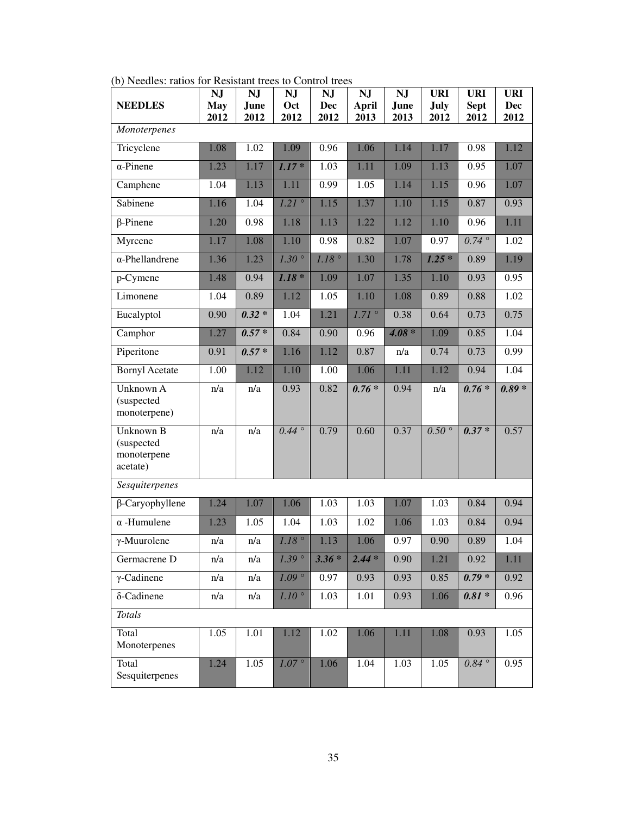| (b) includes. Tallos for Kesistant trees to Control trees | <b>NJ</b>  | <b>NJ</b>         | <b>NJ</b>         | NJ      | <b>NJ</b>    | <b>NJ</b> | <b>URI</b>     | <b>URI</b>    | <b>URI</b> |
|-----------------------------------------------------------|------------|-------------------|-------------------|---------|--------------|-----------|----------------|---------------|------------|
| <b>NEEDLES</b>                                            | <b>May</b> | June              | Oct               | Dec     | <b>April</b> | June      | July           | <b>Sept</b>   | <b>Dec</b> |
|                                                           | 2012       | 2012              | 2012              | 2012    | 2013         | 2013      | 2012           | 2012          | 2012       |
| Monoterpenes                                              |            |                   |                   |         |              |           |                |               |            |
| Tricyclene                                                | 1.08       | $\overline{1.02}$ | 1.09              | 0.96    | 1.06         | 1.14      | 1.17           | 0.98          | 1.12       |
| $\alpha$ -Pinene                                          | 1.23       | 1.17              | $1.17*$           | 1.03    | 1.11         | 1.09      | 1.13           | 0.95          | 1.07       |
| Camphene                                                  | 1.04       | 1.13              | 1.11              | 0.99    | 1.05         | 1.14      | 1.15           | 0.96          | 1.07       |
| Sabinene                                                  | 1.16       | 1.04              | 1.21              | 1.15    | 1.37         | 1.10      | 1.15           | 0.87          | 0.93       |
| $\beta$ -Pinene                                           | 1.20       | 0.98              | 1.18              | 1.13    | 1.22         | 1.12      | 1.10           | 0.96          | 1.11       |
| Myrcene                                                   | 1.17       | 1.08              | 1.10              | 0.98    | 0.82         | 1.07      | 0.97           | $0.74\degree$ | 1.02       |
| $\alpha$ -Phellandrene                                    | 1.36       | 1.23              | $1.30^\circ$      | 1.18°   | 1.30         | 1.78      | $1.25*$        | 0.89          | 1.19       |
| p-Cymene                                                  | 1.48       | 0.94              | $1.18*$           | 1.09    | 1.07         | 1.35      | 1.10           | 0.93          | 0.95       |
| Limonene                                                  | 1.04       | 0.89              | 1.12              | 1.05    | 1.10         | 1.08      | 0.89           | 0.88          | 1.02       |
| Eucalyptol                                                | 0.90       | $0.32 *$          | 1.04              | 1.21    | 1.71°        | 0.38      | 0.64           | 0.73          | 0.75       |
| Camphor                                                   | 1.27       | $0.57*$           | 0.84              | 0.90    | 0.96         | $4.08 *$  | 1.09           | 0.85          | 1.04       |
| Piperitone                                                | 0.91       | $0.57*$           | 1.16              | 1.12    | 0.87         | n/a       | 0.74           | 0.73          | 0.99       |
| <b>Bornyl Acetate</b>                                     | 1.00       | 1.12              | 1.10              | 1.00    | 1.06         | 1.11      | 1.12           | 0.94          | 1.04       |
| Unknown A<br>(suspected<br>monoterpene)                   | n/a        | n/a               | 0.93              | 0.82    | $0.76*$      | 0.94      | n/a            | $0.76*$       | $0.89 *$   |
| Unknown B<br>(suspected<br>monoterpene<br>acetate)        | n/a        | n/a               | $0.44\degree$     | 0.79    | 0.60         | 0.37      | $0.50^{\circ}$ | $0.37*$       | 0.57       |
| Sesquiterpenes                                            |            |                   |                   |         |              |           |                |               |            |
| $\beta$ -Caryophyllene                                    | 1.24       | 1.07              | 1.06              | 1.03    | 1.03         | 1.07      | 1.03           | 0.84          | 0.94       |
| $\alpha$ -Humulene                                        | 1.23       | 1.05              | 1.04              | 1.03    | 1.02         | 1.06      | 1.03           | 0.84          | 0.94       |
| $\gamma$ -Muurolene                                       | n/a        | n/a               | $1.18$ $^{\circ}$ | 1.13    | 1.06         | 0.97      | 0.90           | 0.89          | 1.04       |
| Germacrene D                                              | n/a        | n/a               | 1.39°             | $3.36*$ | $2.44*$      | 0.90      | 1.21           | 0.92          | 1.11       |
| $\gamma$ -Cadinene                                        | n/a        | n/a               | $1.09$ °          | 0.97    | 0.93         | 0.93      | 0.85           | $0.79*$       | 0.92       |
| δ-Cadinene                                                | n/a        | n/a               | $1.10^{\circ}$    | 1.03    | 1.01         | 0.93      | 1.06           | $0.81*$       | 0.96       |
| <b>Totals</b>                                             |            |                   |                   |         |              |           |                |               |            |
| Total<br>Monoterpenes                                     | 1.05       | 1.01              | 1.12              | 1.02    | 1.06         | 1.11      | 1.08           | 0.93          | 1.05       |
| Total<br>Sesquiterpenes                                   | 1.24       | 1.05              | $1.07^\circ$      | 1.06    | 1.04         | 1.03      | 1.05           | 0.84          | 0.95       |

(b) Needles: ratios for Resistant trees to Control trees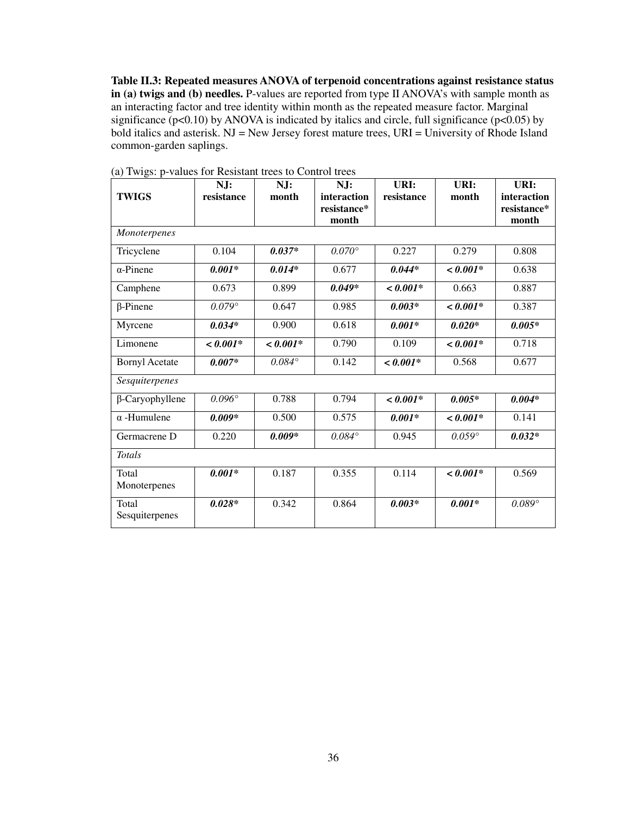**Table II.3: Repeated measures ANOVA of terpenoid concentrations against resistance status in (a) twigs and (b) needles.** P-values are reported from type II ANOVA's with sample month as an interacting factor and tree identity within month as the repeated measure factor. Marginal significance ( $p<0.10$ ) by ANOVA is indicated by italics and circle, full significance ( $p<0.05$ ) by bold italics and asterisk.  $NJ = New Jersey$  forest mature trees,  $URI = University$  of Rhode Island common-garden saplings.

| <b>TWIGS</b>            | NJ:<br>resistance | NJ:<br>month    | NJ:<br>interaction<br>resistance*<br>month | URI:<br>resistance | URI:<br>month | URI:<br>interaction<br>resistance*<br>month |
|-------------------------|-------------------|-----------------|--------------------------------------------|--------------------|---------------|---------------------------------------------|
| <i>Monoterpenes</i>     |                   |                 |                                            |                    |               |                                             |
| Tricyclene              | 0.104             | $0.037*$        | $0.070^{\circ}$                            | 0.227              | 0.279         | 0.808                                       |
| $\alpha$ -Pinene        | $0.001*$          | $0.014*$        | 0.677                                      | $0.044*$           | $< 0.001*$    | 0.638                                       |
| Camphene                | 0.673             | 0.899           | $0.049*$                                   | $< 0.001*$         | 0.663         | 0.887                                       |
| $\beta$ -Pinene         | $0.079^\circ$     | 0.647           | 0.985                                      | $0.003*$           | $< 0.001*$    | 0.387                                       |
| Myrcene                 | $0.034*$          | 0.900           | 0.618                                      | $0.001*$           | $0.020*$      | $0.005*$                                    |
| Limonene                | $< 0.001*$        | $\leq 0.001*$   | 0.790                                      | 0.109              | $< 0.001*$    | 0.718                                       |
| <b>Bornyl Acetate</b>   | $0.007*$          | $0.084^{\circ}$ | 0.142                                      | $< 0.001*$         | 0.568         | 0.677                                       |
| Sesquiterpenes          |                   |                 |                                            |                    |               |                                             |
| $\beta$ -Caryophyllene  | $0.096^\circ$     | 0.788           | 0.794                                      | $< 0.001*$         | $0.005*$      | $0.004*$                                    |
| $\alpha$ -Humulene      | $0.009*$          | 0.500           | 0.575                                      | $0.001*$           | $< 0.001*$    | 0.141                                       |
| Germacrene D            | 0.220             | $0.009*$        | $0.084^{\circ}$                            | 0.945              | $0.059^\circ$ | $0.032*$                                    |
| <b>Totals</b>           |                   |                 |                                            |                    |               |                                             |
| Total<br>Monoterpenes   | $0.001*$          | 0.187           | 0.355                                      | 0.114              | $< 0.001*$    | 0.569                                       |
| Total<br>Sesquiterpenes | $0.028*$          | 0.342           | 0.864                                      | $0.003*$           | $0.001*$      | $0.089^\circ$                               |

(a) Twigs: p-values for Resistant trees to Control trees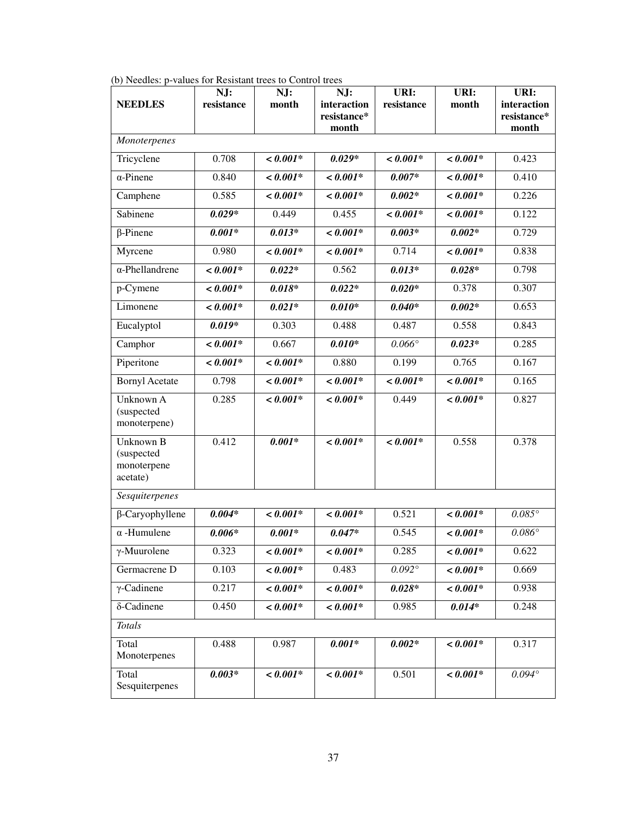| <b>NEEDLES</b>                                     | NJ:<br>resistance | NJ:<br>month | NJ:<br>interaction<br>resistance*<br>month | URI:<br>resistance | URI:<br>month | URI:<br>interaction<br>resistance*<br>month |
|----------------------------------------------------|-------------------|--------------|--------------------------------------------|--------------------|---------------|---------------------------------------------|
| Monoterpenes                                       |                   |              |                                            |                    |               |                                             |
| Tricyclene                                         | 0.708             | $< 0.001*$   | $0.029*$                                   | $< 0.001*$         | $< 0.001*$    | 0.423                                       |
| $\alpha$ -Pinene                                   | 0.840             | $< 0.001*$   | $< 0.001*$                                 | $0.007*$           | $< 0.001*$    | 0.410                                       |
| Camphene                                           | 0.585             | $< 0.001*$   | $< 0.001*$                                 | $0.002*$           | $< 0.001*$    | 0.226                                       |
| Sabinene                                           | $0.029*$          | 0.449        | 0.455                                      | $< 0.001*$         | $< 0.001*$    | 0.122                                       |
| $\beta$ -Pinene                                    | $0.001*$          | $0.013*$     | $< 0.001*$                                 | $0.003*$           | $0.002*$      | 0.729                                       |
| Myrcene                                            | 0.980             | $< 0.001*$   | $< 0.001*$                                 | 0.714              | $< 0.001*$    | 0.838                                       |
| $\alpha$ -Phellandrene                             | $< 0.001*$        | $0.022*$     | 0.562                                      | $0.013*$           | $0.028*$      | 0.798                                       |
| p-Cymene                                           | $< 0.001*$        | $0.018*$     | $0.022*$                                   | $0.020*$           | 0.378         | 0.307                                       |
| Limonene                                           | $< 0.001*$        | $0.021*$     | $0.010*$                                   | $0.040*$           | $0.002*$      | 0.653                                       |
| Eucalyptol                                         | $0.019*$          | 0.303        | 0.488                                      | 0.487              | 0.558         | 0.843                                       |
| Camphor                                            | $< 0.001*$        | 0.667        | $0.010*$                                   | $0.066^\circ$      | $0.023*$      | 0.285                                       |
| Piperitone                                         | $< 0.001*$        | $< 0.001*$   | 0.880                                      | 0.199              | 0.765         | 0.167                                       |
| <b>Bornyl Acetate</b>                              | 0.798             | $< 0.001*$   | $< 0.001*$                                 | $< 0.001*$         | $< 0.001*$    | 0.165                                       |
| Unknown A<br>(suspected<br>monoterpene)            | 0.285             | $< 0.001*$   | $< 0.001*$                                 | 0.449              | $< 0.001*$    | 0.827                                       |
| Unknown B<br>(suspected<br>monoterpene<br>acetate) | 0.412             | $0.001*$     | $< 0.001*$                                 | $< 0.001*$         | 0.558         | 0.378                                       |
| Sesquiterpenes                                     |                   |              |                                            |                    |               |                                             |
| $\beta$ -Caryophyllene                             | $0.004*$          | $< 0.001*$   | $< 0.001*$                                 | 0.521              | $< 0.001*$    | $0.085^{\circ}$                             |
| $\alpha$ -Humulene                                 | $0.006*$          | $0.001*$     | $0.047*$                                   | 0.545              | $< 0.001*$    | $0.086^\circ$                               |
| $\gamma$ -Muurolene                                | 0.323             | $< 0.001*$   | $< 0.001*$                                 | 0.285              | $< 0.001*$    | 0.622                                       |
| Germacrene D                                       | 0.103             | $< 0.001*$   | 0.483                                      | $0.092^\circ$      | $< 0.001*$    | 0.669                                       |
| $\gamma$ -Cadinene                                 | 0.217             | $< 0.001*$   | $< 0.001*$                                 | $0.028*$           | $< 0.001*$    | 0.938                                       |
| $\delta$ -Cadinene                                 | 0.450             | $< 0.001*$   | $< 0.001*$                                 | 0.985              | $0.014*$      | 0.248                                       |
| <b>Totals</b>                                      |                   |              |                                            |                    |               |                                             |
| Total<br>Monoterpenes                              | 0.488             | 0.987        | $0.001*$                                   | $0.002*$           | $< 0.001*$    | 0.317                                       |
| Total<br>Sesquiterpenes                            | $0.003*$          | $< 0.001*$   | $< 0.001*$                                 | 0.501              | $< 0.001*$    | $0.094^\circ$                               |

(b) Needles: p-values for Resistant trees to Control trees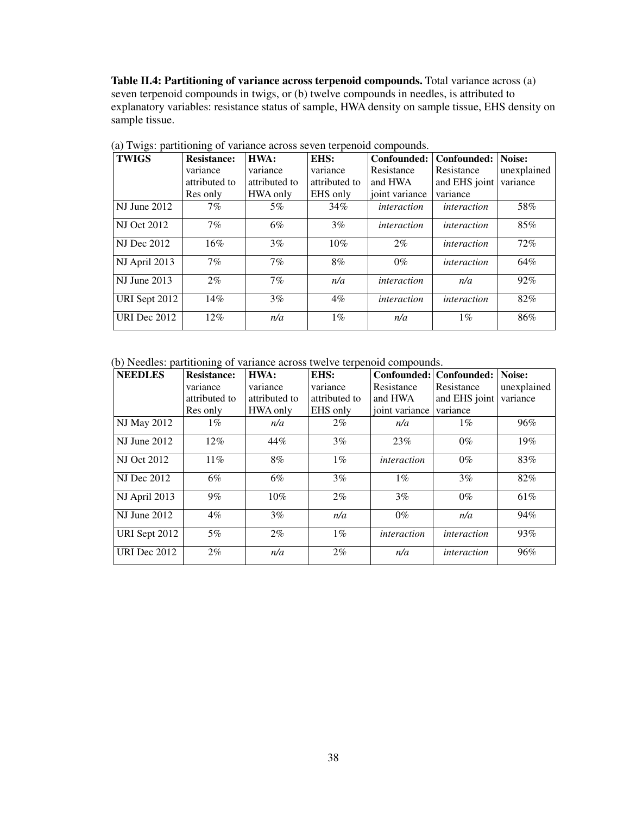**Table II.4: Partitioning of variance across terpenoid compounds.** Total variance across (a) seven terpenoid compounds in twigs, or (b) twelve compounds in needles, is attributed to explanatory variables: resistance status of sample, HWA density on sample tissue, EHS density on sample tissue.

| $\circ$<br><b>TWIGS</b> | <b>Resistance:</b> | HWA:          | EHS:          | Confounded:        | Confounded:        | Noise:      |
|-------------------------|--------------------|---------------|---------------|--------------------|--------------------|-------------|
|                         | variance           | variance      | variance      | Resistance         | Resistance         | unexplained |
|                         | attributed to      | attributed to | attributed to | and HWA            | and EHS joint      | variance    |
|                         | Res only           | HWA only      | EHS only      | joint variance     | variance           |             |
| NJ June 2012            | 7%                 | $5\%$         | 34%           | interaction        | interaction        | 58%         |
| <b>NJ</b> Oct 2012      | 7%                 | 6%            | $3\%$         | interaction        | <i>interaction</i> | 85%         |
| <b>NJ</b> Dec 2012      | 16%                | 3%            | 10%           | $2\%$              | interaction        | 72%         |
| NJ April 2013           | 7%                 | 7%            | 8%            | $0\%$              | <i>interaction</i> | 64%         |
| <b>NJ</b> June 2013     | $2\%$              | 7%            | n/a           | interaction        | n/a                | 92%         |
| URI Sept 2012           | 14%                | 3%            | $4\%$         | <i>interaction</i> | <i>interaction</i> | 82%         |
| <b>URI</b> Dec 2012     | 12%                | n/a           | $1\%$         | n/a                | $1\%$              | 86%         |

(a) Twigs: partitioning of variance across seven terpenoid compounds.

(b) Needles: partitioning of variance across twelve terpenoid compounds.

| <b>NEEDLES</b>      | <b>Resistance:</b> | HWA:          | EHS:          | Confounded:        | Confounded:        | Noise:      |
|---------------------|--------------------|---------------|---------------|--------------------|--------------------|-------------|
|                     | variance           | variance      | variance      | Resistance         | Resistance         | unexplained |
|                     | attributed to      | attributed to | attributed to | and HWA            | and EHS joint      | variance    |
|                     | Res only           | HWA only      | EHS only      | joint variance     | variance           |             |
| NJ May 2012         | $1\%$              | n/a           | $2\%$         | n/a                | $1\%$              | 96%         |
| $NI$ June 2012      | $12\%$             | 44%           | $3\%$         | 23%                | $0\%$              | 19%         |
| <b>NJ Oct 2012</b>  | $11\%$             | 8%            | $1\%$         | <i>interaction</i> | $0\%$              | 83%         |
| <b>NJ</b> Dec 2012  | 6%                 | 6%            | $3\%$         | $1\%$              | 3%                 | 82%         |
| NJ April 2013       | $9\%$              | $10\%$        | $2\%$         | 3%                 | $0\%$              | 61%         |
| <b>NJ</b> June 2012 | $4\%$              | 3%            | n/a           | $0\%$              | n/a                | 94%         |
| URI Sept 2012       | 5%                 | $2\%$         | $1\%$         | interaction        | interaction        | 93%         |
| URI Dec 2012        | $2\%$              | n/a           | $2\%$         | n/a                | <i>interaction</i> | 96%         |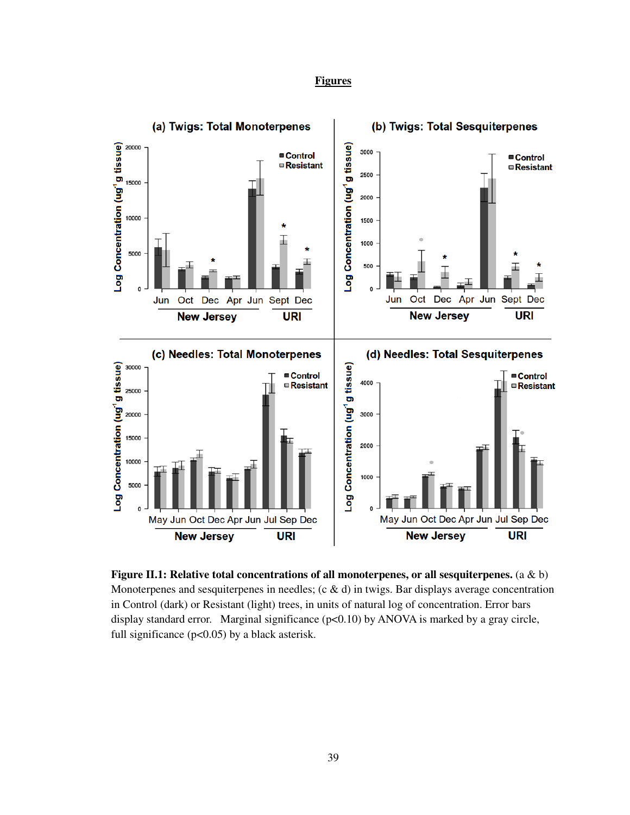## **Figures**



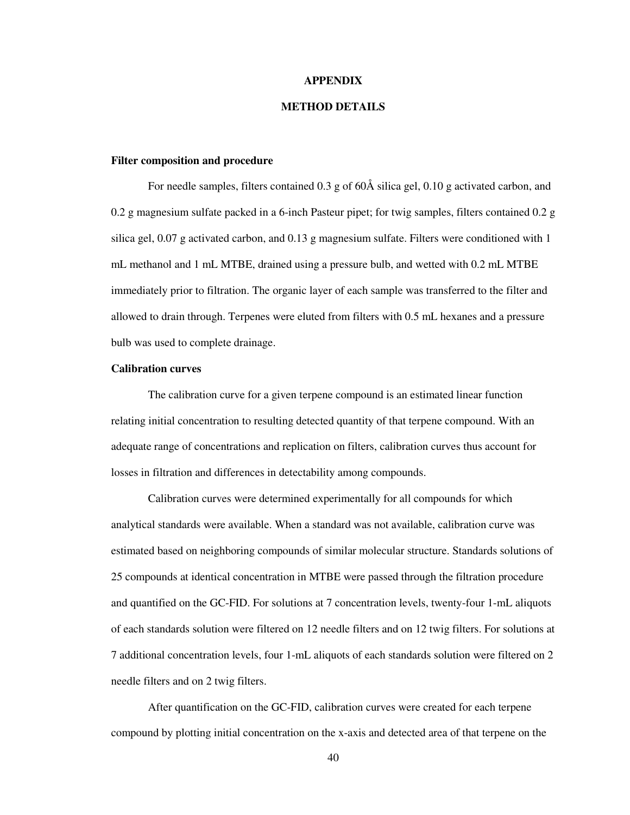#### **APPENDIX**

### **METHOD DETAILS**

#### **Filter composition and procedure**

For needle samples, filters contained 0.3 g of 60Å silica gel, 0.10 g activated carbon, and 0.2 g magnesium sulfate packed in a 6-inch Pasteur pipet; for twig samples, filters contained 0.2 g silica gel, 0.07 g activated carbon, and 0.13 g magnesium sulfate. Filters were conditioned with 1 mL methanol and 1 mL MTBE, drained using a pressure bulb, and wetted with 0.2 mL MTBE immediately prior to filtration. The organic layer of each sample was transferred to the filter and allowed to drain through. Terpenes were eluted from filters with 0.5 mL hexanes and a pressure bulb was used to complete drainage.

#### **Calibration curves**

The calibration curve for a given terpene compound is an estimated linear function relating initial concentration to resulting detected quantity of that terpene compound. With an adequate range of concentrations and replication on filters, calibration curves thus account for losses in filtration and differences in detectability among compounds.

Calibration curves were determined experimentally for all compounds for which analytical standards were available. When a standard was not available, calibration curve was estimated based on neighboring compounds of similar molecular structure. Standards solutions of 25 compounds at identical concentration in MTBE were passed through the filtration procedure and quantified on the GC-FID. For solutions at 7 concentration levels, twenty-four 1-mL aliquots of each standards solution were filtered on 12 needle filters and on 12 twig filters. For solutions at 7 additional concentration levels, four 1-mL aliquots of each standards solution were filtered on 2 needle filters and on 2 twig filters.

After quantification on the GC-FID, calibration curves were created for each terpene compound by plotting initial concentration on the x-axis and detected area of that terpene on the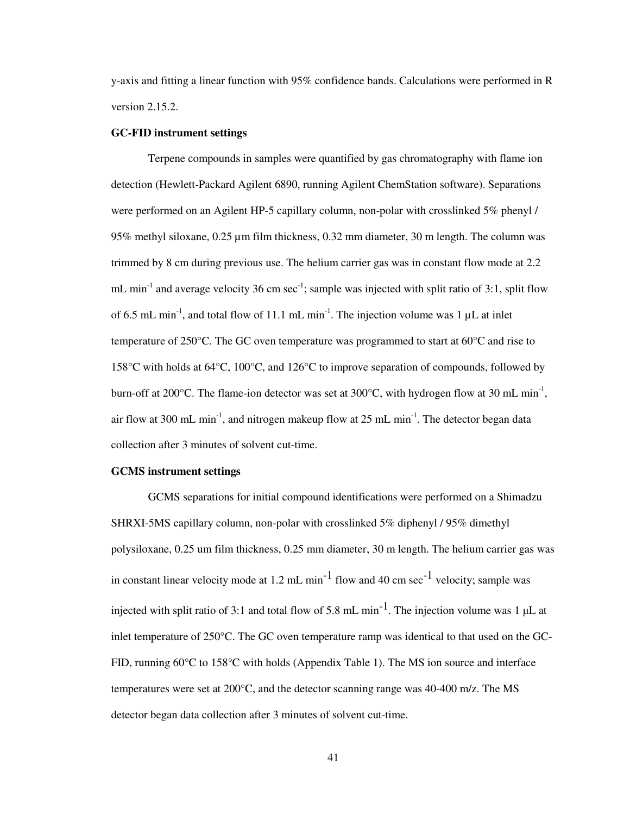y-axis and fitting a linear function with 95% confidence bands. Calculations were performed in R version 2.15.2.

### **GC-FID instrument settings**

Terpene compounds in samples were quantified by gas chromatography with flame ion detection (Hewlett-Packard Agilent 6890, running Agilent ChemStation software). Separations were performed on an Agilent HP-5 capillary column, non-polar with crosslinked 5% phenyl / 95% methyl siloxane, 0.25 µm film thickness, 0.32 mm diameter, 30 m length. The column was trimmed by 8 cm during previous use. The helium carrier gas was in constant flow mode at 2.2 mL min<sup>-1</sup> and average velocity 36 cm sec<sup>-1</sup>; sample was injected with split ratio of 3:1, split flow of 6.5 mL min<sup>-1</sup>, and total flow of 11.1 mL min<sup>-1</sup>. The injection volume was 1  $\mu$ L at inlet temperature of 250 $\degree$ C. The GC oven temperature was programmed to start at 60 $\degree$ C and rise to 158°C with holds at 64°C, 100°C, and 126°C to improve separation of compounds, followed by burn-off at 200 $^{\circ}$ C. The flame-ion detector was set at 300 $^{\circ}$ C, with hydrogen flow at 30 mL min<sup>-1</sup>, air flow at 300 mL min<sup>-1</sup>, and nitrogen makeup flow at 25 mL min<sup>-1</sup>. The detector began data collection after 3 minutes of solvent cut-time.

## **GCMS instrument settings**

GCMS separations for initial compound identifications were performed on a Shimadzu SHRXI-5MS capillary column, non-polar with crosslinked 5% diphenyl / 95% dimethyl polysiloxane, 0.25 um film thickness, 0.25 mm diameter, 30 m length. The helium carrier gas was in constant linear velocity mode at 1.2 mL min<sup>-1</sup> flow and 40 cm sec<sup>-1</sup> velocity; sample was injected with split ratio of 3:1 and total flow of 5.8 mL min<sup>-1</sup>. The injection volume was 1  $\mu$ L at inlet temperature of 250°C. The GC oven temperature ramp was identical to that used on the GC-FID, running 60°C to 158°C with holds (Appendix Table 1). The MS ion source and interface temperatures were set at 200°C, and the detector scanning range was 40-400 m/z. The MS detector began data collection after 3 minutes of solvent cut-time.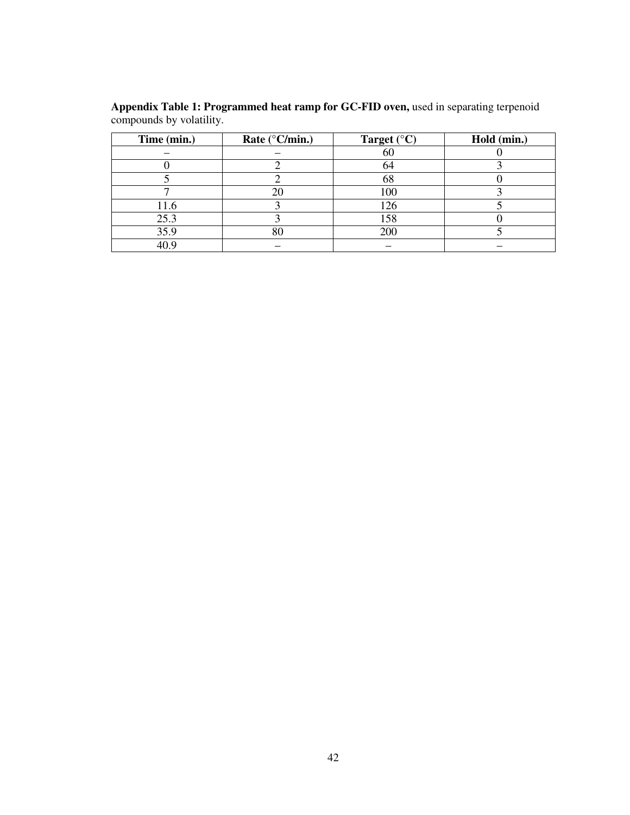| Time (min.) | Rate ( $^{\circ}$ C/min.) | Target $(^{\circ}C)$ | Hold (min.) |
|-------------|---------------------------|----------------------|-------------|
|             |                           | 60                   |             |
|             |                           | 64                   |             |
|             |                           | 68                   |             |
|             | 20                        | 100                  |             |
| 11.6        |                           | 126                  |             |
| 25.3        |                           | 158                  |             |
| 35.9        | 80                        | 200                  |             |
|             |                           |                      |             |

**Appendix Table 1: Programmed heat ramp for GC-FID oven,** used in separating terpenoid compounds by volatility.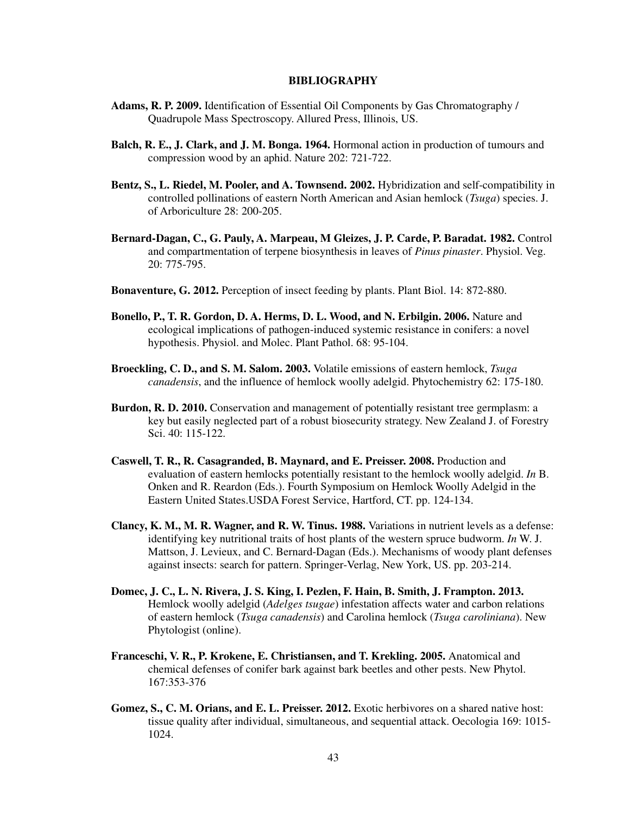#### **BIBLIOGRAPHY**

- **Adams, R. P. 2009.** Identification of Essential Oil Components by Gas Chromatography / Quadrupole Mass Spectroscopy. Allured Press, Illinois, US.
- **Balch, R. E., J. Clark, and J. M. Bonga. 1964.** Hormonal action in production of tumours and compression wood by an aphid. Nature 202: 721-722.
- **Bentz, S., L. Riedel, M. Pooler, and A. Townsend. 2002.** Hybridization and self-compatibility in controlled pollinations of eastern North American and Asian hemlock (*Tsuga*) species. J. of Arboriculture 28: 200-205.
- **Bernard-Dagan, C., G. Pauly, A. Marpeau, M Gleizes, J. P. Carde, P. Baradat. 1982.** Control and compartmentation of terpene biosynthesis in leaves of *Pinus pinaster*. Physiol. Veg. 20: 775-795.
- **Bonaventure, G. 2012.** Perception of insect feeding by plants. Plant Biol. 14: 872-880.
- **Bonello, P., T. R. Gordon, D. A. Herms, D. L. Wood, and N. Erbilgin. 2006.** Nature and ecological implications of pathogen-induced systemic resistance in conifers: a novel hypothesis. Physiol. and Molec. Plant Pathol. 68: 95-104.
- **Broeckling, C. D., and S. M. Salom. 2003.** Volatile emissions of eastern hemlock, *Tsuga canadensis*, and the influence of hemlock woolly adelgid. Phytochemistry 62: 175-180.
- **Burdon, R. D. 2010.** Conservation and management of potentially resistant tree germplasm: a key but easily neglected part of a robust biosecurity strategy. New Zealand J. of Forestry Sci. 40: 115-122.
- **Caswell, T. R., R. Casagranded, B. Maynard, and E. Preisser. 2008.** Production and evaluation of eastern hemlocks potentially resistant to the hemlock woolly adelgid. *In* B. Onken and R. Reardon (Eds.). Fourth Symposium on Hemlock Woolly Adelgid in the Eastern United States.USDA Forest Service, Hartford, CT. pp. 124-134.
- **Clancy, K. M., M. R. Wagner, and R. W. Tinus. 1988.** Variations in nutrient levels as a defense: identifying key nutritional traits of host plants of the western spruce budworm. *In* W. J. Mattson, J. Levieux, and C. Bernard-Dagan (Eds.). Mechanisms of woody plant defenses against insects: search for pattern. Springer-Verlag, New York, US. pp. 203-214.
- **Domec, J. C., L. N. Rivera, J. S. King, I. Pezlen, F. Hain, B. Smith, J. Frampton. 2013.** Hemlock woolly adelgid (*Adelges tsugae*) infestation affects water and carbon relations of eastern hemlock (*Tsuga canadensis*) and Carolina hemlock (*Tsuga caroliniana*). New Phytologist (online).
- **Franceschi, V. R., P. Krokene, E. Christiansen, and T. Krekling. 2005.** Anatomical and chemical defenses of conifer bark against bark beetles and other pests. New Phytol. 167:353-376
- Gomez, S., C. M. Orians, and E. L. Preisser. 2012. Exotic herbivores on a shared native host: tissue quality after individual, simultaneous, and sequential attack. Oecologia 169: 1015- 1024.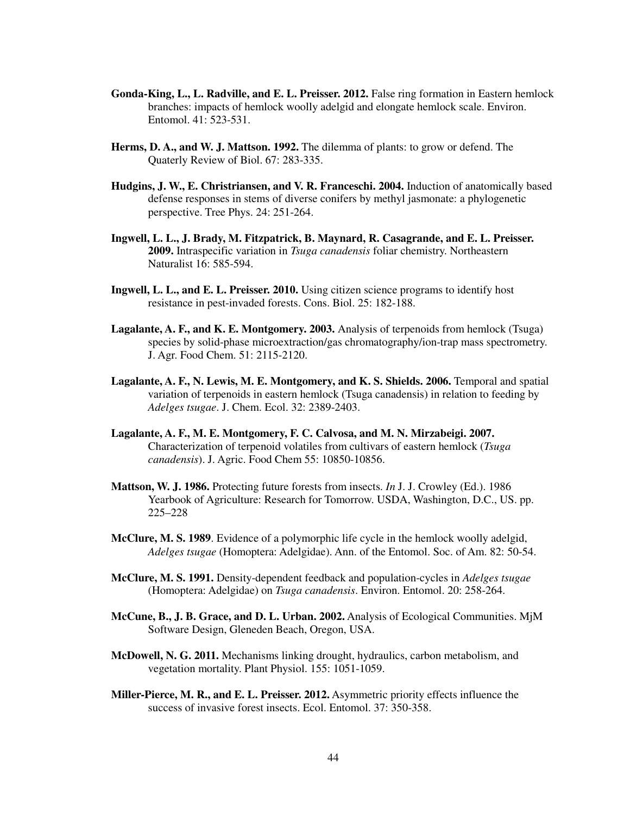- **Gonda-King, L., L. Radville, and E. L. Preisser. 2012.** False ring formation in Eastern hemlock branches: impacts of hemlock woolly adelgid and elongate hemlock scale. Environ. Entomol. 41: 523-531.
- **Herms, D. A., and W. J. Mattson. 1992.** The dilemma of plants: to grow or defend. The Quaterly Review of Biol. 67: 283-335.
- **Hudgins, J. W., E. Christriansen, and V. R. Franceschi. 2004.** Induction of anatomically based defense responses in stems of diverse conifers by methyl jasmonate: a phylogenetic perspective. Tree Phys. 24: 251-264.
- **Ingwell, L. L., J. Brady, M. Fitzpatrick, B. Maynard, R. Casagrande, and E. L. Preisser. 2009.** Intraspecific variation in *Tsuga canadensis* foliar chemistry. Northeastern Naturalist 16: 585-594.
- **Ingwell, L. L., and E. L. Preisser. 2010.** Using citizen science programs to identify host resistance in pest-invaded forests. Cons. Biol. 25: 182-188.
- **Lagalante, A. F., and K. E. Montgomery. 2003.** Analysis of terpenoids from hemlock (Tsuga) species by solid-phase microextraction/gas chromatography/ion-trap mass spectrometry. J. Agr. Food Chem. 51: 2115-2120.
- Lagalante, A. F., N. Lewis, M. E. Montgomery, and K. S. Shields. 2006. Temporal and spatial variation of terpenoids in eastern hemlock (Tsuga canadensis) in relation to feeding by *Adelges tsugae*. J. Chem. Ecol. 32: 2389-2403.
- **Lagalante, A. F., M. E. Montgomery, F. C. Calvosa, and M. N. Mirzabeigi. 2007.** Characterization of terpenoid volatiles from cultivars of eastern hemlock (*Tsuga canadensis*). J. Agric. Food Chem 55: 10850-10856.
- **Mattson, W. J. 1986.** Protecting future forests from insects. *In* J. J. Crowley (Ed.). 1986 Yearbook of Agriculture: Research for Tomorrow. USDA, Washington, D.C., US. pp. 225–228
- **McClure, M. S. 1989**. Evidence of a polymorphic life cycle in the hemlock woolly adelgid, *Adelges tsugae* (Homoptera: Adelgidae). Ann. of the Entomol. Soc. of Am. 82: 50-54.
- **McClure, M. S. 1991.** Density-dependent feedback and population-cycles in *Adelges tsugae* (Homoptera: Adelgidae) on *Tsuga canadensis*. Environ. Entomol. 20: 258-264.
- **McCune, B., J. B. Grace, and D. L. Urban. 2002.** Analysis of Ecological Communities. MjM Software Design, Gleneden Beach, Oregon, USA.
- **McDowell, N. G. 2011.** Mechanisms linking drought, hydraulics, carbon metabolism, and vegetation mortality. Plant Physiol. 155: 1051-1059.
- **Miller-Pierce, M. R., and E. L. Preisser. 2012.** Asymmetric priority effects influence the success of invasive forest insects. Ecol. Entomol. 37: 350-358.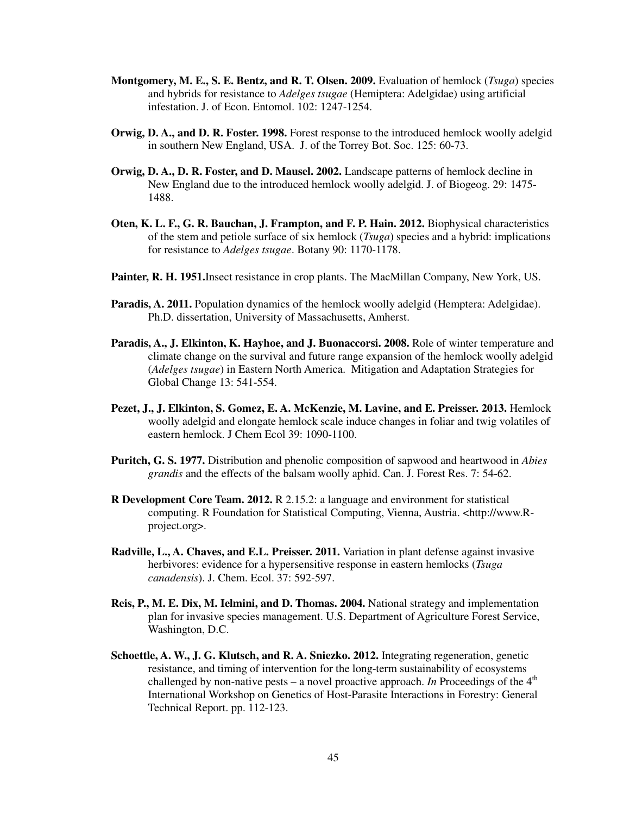- **Montgomery, M. E., S. E. Bentz, and R. T. Olsen. 2009.** Evaluation of hemlock (*Tsuga*) species and hybrids for resistance to *Adelges tsugae* (Hemiptera: Adelgidae) using artificial infestation. J. of Econ. Entomol. 102: 1247-1254.
- **Orwig, D. A., and D. R. Foster. 1998.** Forest response to the introduced hemlock woolly adelgid in southern New England, USA. J. of the Torrey Bot. Soc. 125: 60-73.
- **Orwig, D. A., D. R. Foster, and D. Mausel. 2002.** Landscape patterns of hemlock decline in New England due to the introduced hemlock woolly adelgid. J. of Biogeog. 29: 1475- 1488.
- **Oten, K. L. F., G. R. Bauchan, J. Frampton, and F. P. Hain. 2012.** Biophysical characteristics of the stem and petiole surface of six hemlock (*Tsuga*) species and a hybrid: implications for resistance to *Adelges tsugae*. Botany 90: 1170-1178.
- **Painter, R. H. 1951.**Insect resistance in crop plants. The MacMillan Company, New York, US.
- **Paradis, A. 2011.** Population dynamics of the hemlock woolly adelgid (Hemptera: Adelgidae). Ph.D. dissertation, University of Massachusetts, Amherst.
- **Paradis, A., J. Elkinton, K. Hayhoe, and J. Buonaccorsi. 2008.** Role of winter temperature and climate change on the survival and future range expansion of the hemlock woolly adelgid (*Adelges tsugae*) in Eastern North America. Mitigation and Adaptation Strategies for Global Change 13: 541-554.
- **Pezet, J., J. Elkinton, S. Gomez, E. A. McKenzie, M. Lavine, and E. Preisser. 2013.** Hemlock woolly adelgid and elongate hemlock scale induce changes in foliar and twig volatiles of eastern hemlock. J Chem Ecol 39: 1090-1100.
- **Puritch, G. S. 1977.** Distribution and phenolic composition of sapwood and heartwood in *Abies grandis* and the effects of the balsam woolly aphid. Can. J. Forest Res. 7: 54-62.
- **R Development Core Team. 2012.** R 2.15.2: a language and environment for statistical computing. R Foundation for Statistical Computing, Vienna, Austria. <http://www.Rproject.org>.
- **Radville, L., A. Chaves, and E.L. Preisser. 2011.** Variation in plant defense against invasive herbivores: evidence for a hypersensitive response in eastern hemlocks (*Tsuga canadensis*). J. Chem. Ecol. 37: 592-597.
- **Reis, P., M. E. Dix, M. Ielmini, and D. Thomas. 2004.** National strategy and implementation plan for invasive species management. U.S. Department of Agriculture Forest Service, Washington, D.C.
- **Schoettle, A. W., J. G. Klutsch, and R. A. Sniezko. 2012.** Integrating regeneration, genetic resistance, and timing of intervention for the long-term sustainability of ecosystems challenged by non-native pests – a novel proactive approach. *In* Proceedings of the  $4<sup>th</sup>$ International Workshop on Genetics of Host-Parasite Interactions in Forestry: General Technical Report. pp. 112-123.